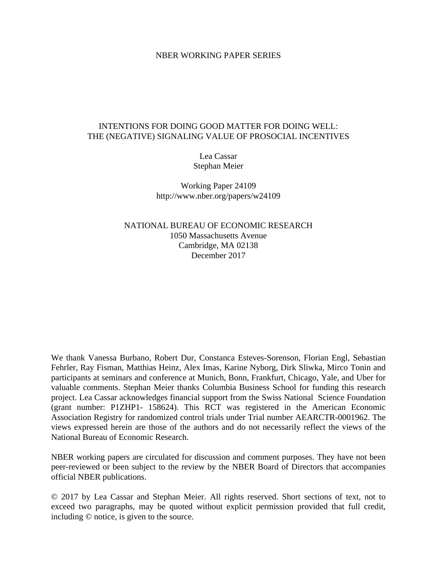## NBER WORKING PAPER SERIES

# INTENTIONS FOR DOING GOOD MATTER FOR DOING WELL: THE (NEGATIVE) SIGNALING VALUE OF PROSOCIAL INCENTIVES

Lea Cassar Stephan Meier

Working Paper 24109 http://www.nber.org/papers/w24109

NATIONAL BUREAU OF ECONOMIC RESEARCH 1050 Massachusetts Avenue Cambridge, MA 02138 December 2017

We thank Vanessa Burbano, Robert Dur, Constanca Esteves-Sorenson, Florian Engl, Sebastian Fehrler, Ray Fisman, Matthias Heinz, Alex Imas, Karine Nyborg, Dirk Sliwka, Mirco Tonin and participants at seminars and conference at Munich, Bonn, Frankfurt, Chicago, Yale, and Uber for valuable comments. Stephan Meier thanks Columbia Business School for funding this research project. Lea Cassar acknowledges financial support from the Swiss National Science Foundation (grant number: P1ZHP1- 158624). This RCT was registered in the American Economic Association Registry for randomized control trials under Trial number AEARCTR-0001962. The views expressed herein are those of the authors and do not necessarily reflect the views of the National Bureau of Economic Research.

NBER working papers are circulated for discussion and comment purposes. They have not been peer-reviewed or been subject to the review by the NBER Board of Directors that accompanies official NBER publications.

© 2017 by Lea Cassar and Stephan Meier. All rights reserved. Short sections of text, not to exceed two paragraphs, may be quoted without explicit permission provided that full credit, including © notice, is given to the source.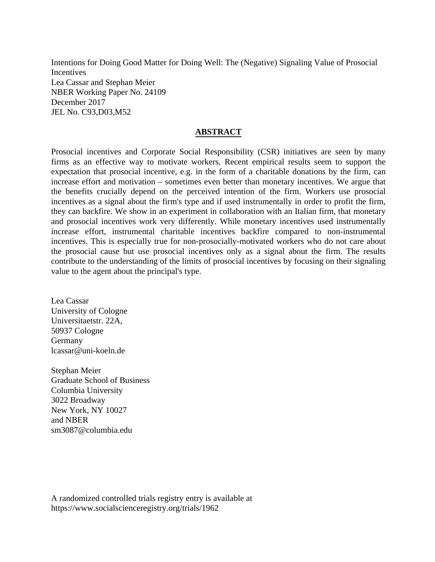Intentions for Doing Good Matter for Doing Well: The (Negative) Signaling Value of Prosocial **Incentives** Lea Cassar and Stephan Meier NBER Working Paper No. 24109 December 2017 JEL No. C93,D03,M52

# **ABSTRACT**

Prosocial incentives and Corporate Social Responsibility (CSR) initiatives are seen by many firms as an effective way to motivate workers. Recent empirical results seem to support the expectation that prosocial incentive, e.g. in the form of a charitable donations by the firm, can increase effort and motivation – sometimes even better than monetary incentives. We argue that the benefits crucially depend on the perceived intention of the firm. Workers use prosocial incentives as a signal about the firm's type and if used instrumentally in order to profit the firm, they can backfire. We show in an experiment in collaboration with an Italian firm, that monetary and prosocial incentives work very differently. While monetary incentives used instrumentally increase effort, instrumental charitable incentives backfire compared to non-instrumental incentives. This is especially true for non-prosocially-motivated workers who do not care about the prosocial cause but use prosocial incentives only as a signal about the firm. The results contribute to the understanding of the limits of prosocial incentives by focusing on their signaling value to the agent about the principal's type.

Lea Cassar University of Cologne Universitaetstr. 22A, 50937 Cologne Germany lcassar@uni-koeln.de

Stephan Meier Graduate School of Business Columbia University 3022 Broadway New York, NY 10027 and NBER sm3087@columbia.edu

A randomized controlled trials registry entry is available at https://www.socialscienceregistry.org/trials/1962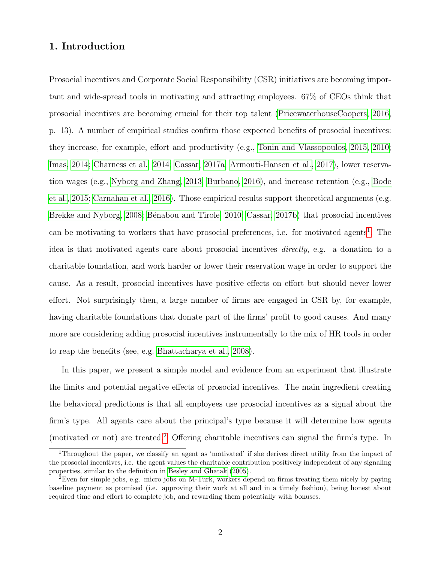# 1. Introduction

Prosocial incentives and Corporate Social Responsibility (CSR) initiatives are becoming important and wide-spread tools in motivating and attracting employees. 67% of CEOs think that prosocial incentives are becoming crucial for their top talent [\(PricewaterhouseCoopers, 2016,](#page-41-0) p. 13). A number of empirical studies confirm those expected benefits of prosocial incentives: they increase, for example, effort and productivity (e.g., [Tonin and Vlassopoulos, 2015,](#page-41-1) [2010;](#page-41-2) [Imas, 2014;](#page-40-0) [Charness et al., 2014;](#page-39-0) [Cassar, 2017a;](#page-39-1) [Armouti-Hansen et al., 2017\)](#page-38-0), lower reservation wages (e.g., [Nyborg and Zhang, 2013;](#page-41-3) [Burbano, 2016\)](#page-38-1), and increase retention (e.g., [Bode](#page-38-2) [et al., 2015;](#page-38-2) [Carnahan et al., 2016\)](#page-39-2). Those empirical results support theoretical arguments (e.g. [Brekke and Nyborg, 2008;](#page-38-3) Bénabou and Tirole, 2010; [Cassar, 2017b\)](#page-39-3) that prosocial incentives can be motivating to workers that have prosocial preferences, i.e. for motivated agents<sup>[1](#page--1-0)</sup>. The idea is that motivated agents care about prosocial incentives directly, e.g. a donation to a charitable foundation, and work harder or lower their reservation wage in order to support the cause. As a result, prosocial incentives have positive effects on effort but should never lower effort. Not surprisingly then, a large number of firms are engaged in CSR by, for example, having charitable foundations that donate part of the firms' profit to good causes. And many more are considering adding prosocial incentives instrumentally to the mix of HR tools in order to reap the benefits (see, e.g. [Bhattacharya et al., 2008\)](#page-38-5).

In this paper, we present a simple model and evidence from an experiment that illustrate the limits and potential negative effects of prosocial incentives. The main ingredient creating the behavioral predictions is that all employees use prosocial incentives as a signal about the firm's type. All agents care about the principal's type because it will determine how agents (motivated or not) are treated.[2](#page--1-0) Offering charitable incentives can signal the firm's type. In

<sup>&</sup>lt;sup>1</sup>Throughout the paper, we classify an agent as 'motivated' if she derives direct utility from the impact of the prosocial incentives, i.e. the agent values the charitable contribution positively independent of any signaling properties, similar to the definition in [Besley and Ghatak](#page-38-6) [\(2005\)](#page-38-6).

<sup>2</sup>Even for simple jobs, e.g. micro jobs on M-Turk, workers depend on firms treating them nicely by paying baseline payment as promised (i.e. approving their work at all and in a timely fashion), being honest about required time and effort to complete job, and rewarding them potentially with bonuses.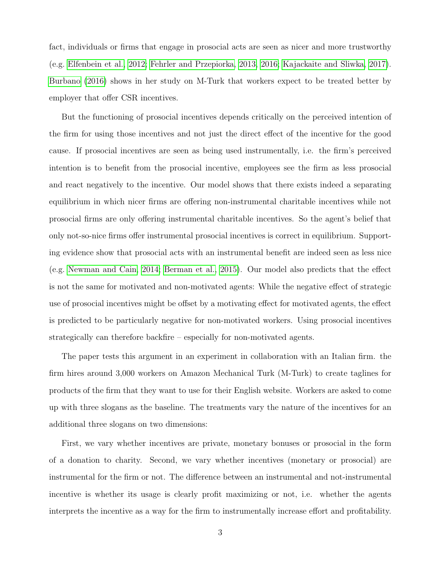fact, individuals or firms that engage in prosocial acts are seen as nicer and more trustworthy (e.g. [Elfenbein et al., 2012;](#page-39-4) [Fehrler and Przepiorka, 2013,](#page-39-5) [2016;](#page-39-6) [Kajackaite and Sliwka, 2017\)](#page-40-1). [Burbano](#page-38-1) [\(2016\)](#page-38-1) shows in her study on M-Turk that workers expect to be treated better by employer that offer CSR incentives.

But the functioning of prosocial incentives depends critically on the perceived intention of the firm for using those incentives and not just the direct effect of the incentive for the good cause. If prosocial incentives are seen as being used instrumentally, i.e. the firm's perceived intention is to benefit from the prosocial incentive, employees see the firm as less prosocial and react negatively to the incentive. Our model shows that there exists indeed a separating equilibrium in which nicer firms are offering non-instrumental charitable incentives while not prosocial firms are only offering instrumental charitable incentives. So the agent's belief that only not-so-nice firms offer instrumental prosocial incentives is correct in equilibrium. Supporting evidence show that prosocial acts with an instrumental benefit are indeed seen as less nice (e.g. [Newman and Cain, 2014;](#page-41-4) [Berman et al., 2015\)](#page-38-7). Our model also predicts that the effect is not the same for motivated and non-motivated agents: While the negative effect of strategic use of prosocial incentives might be offset by a motivating effect for motivated agents, the effect is predicted to be particularly negative for non-motivated workers. Using prosocial incentives strategically can therefore backfire – especially for non-motivated agents.

The paper tests this argument in an experiment in collaboration with an Italian firm. the firm hires around 3,000 workers on Amazon Mechanical Turk (M-Turk) to create taglines for products of the firm that they want to use for their English website. Workers are asked to come up with three slogans as the baseline. The treatments vary the nature of the incentives for an additional three slogans on two dimensions:

First, we vary whether incentives are private, monetary bonuses or prosocial in the form of a donation to charity. Second, we vary whether incentives (monetary or prosocial) are instrumental for the firm or not. The difference between an instrumental and not-instrumental incentive is whether its usage is clearly profit maximizing or not, i.e. whether the agents interprets the incentive as a way for the firm to instrumentally increase effort and profitability.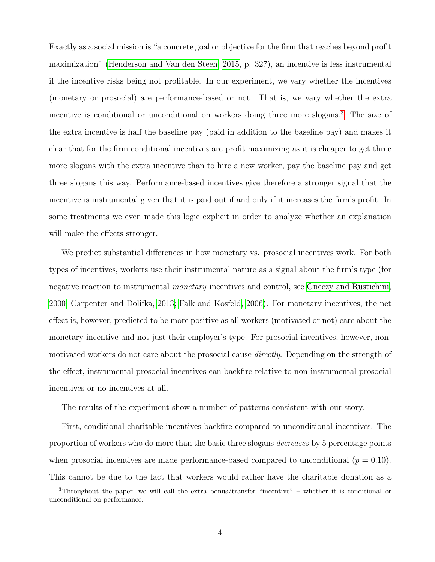Exactly as a social mission is "a concrete goal or objective for the firm that reaches beyond profit maximization" [\(Henderson and Van den Steen, 2015,](#page-40-2) p. 327), an incentive is less instrumental if the incentive risks being not profitable. In our experiment, we vary whether the incentives (monetary or prosocial) are performance-based or not. That is, we vary whether the extra incentive is conditional or unconditional on workers doing three more slogans.[3](#page--1-0) The size of the extra incentive is half the baseline pay (paid in addition to the baseline pay) and makes it clear that for the firm conditional incentives are profit maximizing as it is cheaper to get three more slogans with the extra incentive than to hire a new worker, pay the baseline pay and get three slogans this way. Performance-based incentives give therefore a stronger signal that the incentive is instrumental given that it is paid out if and only if it increases the firm's profit. In some treatments we even made this logic explicit in order to analyze whether an explanation will make the effects stronger.

We predict substantial differences in how monetary vs. prosocial incentives work. For both types of incentives, workers use their instrumental nature as a signal about the firm's type (for negative reaction to instrumental *monetary* incentives and control, see [Gneezy and Rustichini,](#page-40-3) [2000;](#page-40-3) [Carpenter and Dolifka, 2013;](#page-39-7) [Falk and Kosfeld, 2006\)](#page-39-8). For monetary incentives, the net effect is, however, predicted to be more positive as all workers (motivated or not) care about the monetary incentive and not just their employer's type. For prosocial incentives, however, nonmotivated workers do not care about the prosocial cause *directly*. Depending on the strength of the effect, instrumental prosocial incentives can backfire relative to non-instrumental prosocial incentives or no incentives at all.

The results of the experiment show a number of patterns consistent with our story.

First, conditional charitable incentives backfire compared to unconditional incentives. The proportion of workers who do more than the basic three slogans *decreases* by 5 percentage points when prosocial incentives are made performance-based compared to unconditional ( $p = 0.10$ ). This cannot be due to the fact that workers would rather have the charitable donation as a

<sup>3</sup>Throughout the paper, we will call the extra bonus/transfer "incentive" – whether it is conditional or unconditional on performance.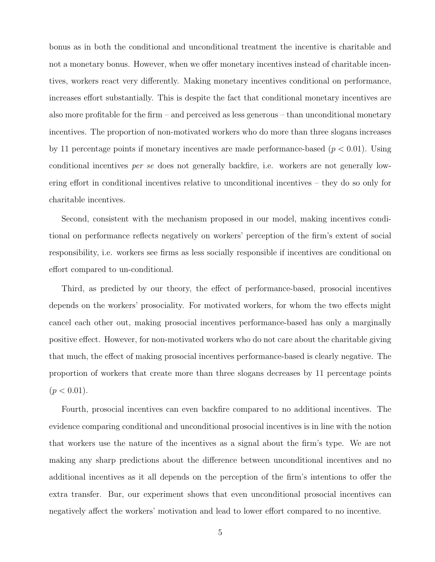bonus as in both the conditional and unconditional treatment the incentive is charitable and not a monetary bonus. However, when we offer monetary incentives instead of charitable incentives, workers react very differently. Making monetary incentives conditional on performance, increases effort substantially. This is despite the fact that conditional monetary incentives are also more profitable for the firm – and perceived as less generous – than unconditional monetary incentives. The proportion of non-motivated workers who do more than three slogans increases by 11 percentage points if monetary incentives are made performance-based  $(p < 0.01)$ . Using conditional incentives per se does not generally backfire, i.e. workers are not generally lowering effort in conditional incentives relative to unconditional incentives – they do so only for charitable incentives.

Second, consistent with the mechanism proposed in our model, making incentives conditional on performance reflects negatively on workers' perception of the firm's extent of social responsibility, i.e. workers see firms as less socially responsible if incentives are conditional on effort compared to un-conditional.

Third, as predicted by our theory, the effect of performance-based, prosocial incentives depends on the workers' prosociality. For motivated workers, for whom the two effects might cancel each other out, making prosocial incentives performance-based has only a marginally positive effect. However, for non-motivated workers who do not care about the charitable giving that much, the effect of making prosocial incentives performance-based is clearly negative. The proportion of workers that create more than three slogans decreases by 11 percentage points  $(p < 0.01)$ .

Fourth, prosocial incentives can even backfire compared to no additional incentives. The evidence comparing conditional and unconditional prosocial incentives is in line with the notion that workers use the nature of the incentives as a signal about the firm's type. We are not making any sharp predictions about the difference between unconditional incentives and no additional incentives as it all depends on the perception of the firm's intentions to offer the extra transfer. Bur, our experiment shows that even unconditional prosocial incentives can negatively affect the workers' motivation and lead to lower effort compared to no incentive.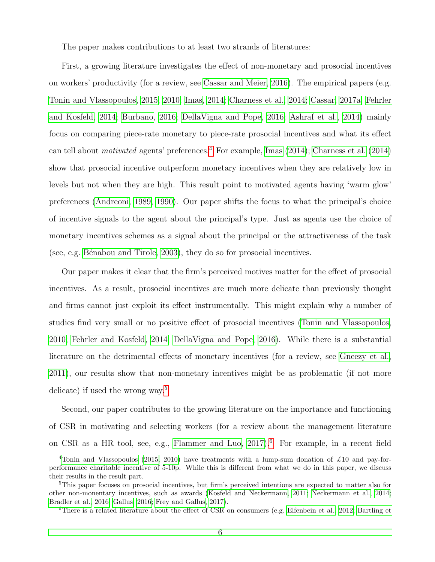The paper makes contributions to at least two strands of literatures:

First, a growing literature investigates the effect of non-monetary and prosocial incentives on workers' productivity (for a review, see [Cassar and Meier, 2016\)](#page-39-9). The empirical papers (e.g. [Tonin and Vlassopoulos, 2015,](#page-41-1) [2010;](#page-41-2) [Imas, 2014;](#page-40-0) [Charness et al., 2014;](#page-39-0) [Cassar, 2017a;](#page-39-1) [Fehrler](#page-39-10) [and Kosfeld, 2014;](#page-39-10) [Burbano, 2016;](#page-38-1) [DellaVigna and Pope, 2016;](#page-39-11) [Ashraf et al., 2014\)](#page-38-8) mainly focus on comparing piece-rate monetary to piece-rate prosocial incentives and what its effect can tell about *motivated* agents' preferences.<sup>[4](#page--1-0)</sup> For example, [Imas](#page-40-0) [\(2014\)](#page-39-0); [Charness et al.](#page-39-0) (2014) show that prosocial incentive outperform monetary incentives when they are relatively low in levels but not when they are high. This result point to motivated agents having 'warm glow' preferences [\(Andreoni, 1989,](#page-38-9) [1990\)](#page-38-10). Our paper shifts the focus to what the principal's choice of incentive signals to the agent about the principal's type. Just as agents use the choice of monetary incentives schemes as a signal about the principal or the attractiveness of the task (see, e.g. Bénabou and Tirole,  $2003$ ), they do so for prosocial incentives.

Our paper makes it clear that the firm's perceived motives matter for the effect of prosocial incentives. As a result, prosocial incentives are much more delicate than previously thought and firms cannot just exploit its effect instrumentally. This might explain why a number of studies find very small or no positive effect of prosocial incentives [\(Tonin and Vlassopoulos,](#page-41-2) [2010;](#page-41-2) [Fehrler and Kosfeld, 2014;](#page-39-10) [DellaVigna and Pope, 2016\)](#page-39-11). While there is a substantial literature on the detrimental effects of monetary incentives (for a review, see [Gneezy et al.,](#page-40-4) [2011\)](#page-40-4), our results show that non-monetary incentives might be as problematic (if not more delicate) if used the wrong way.[5](#page--1-0)

Second, our paper contributes to the growing literature on the importance and functioning of CSR in motivating and selecting workers (for a review about the management literature on CSR as a HR tool, see, e.g., Flammer and Luo,  $2017$ ).<sup>[6](#page--1-0)</sup> For example, in a recent field

<sup>&</sup>lt;sup>4</sup>[Tonin and Vlassopoulos](#page-41-1) [\(2015,](#page-41-1) [2010\)](#page-41-2) have treatments with a lump-sum donation of £10 and pay-forperformance charitable incentive of 5-10p. While this is different from what we do in this paper, we discuss their results in the result part.

<sup>5</sup>This paper focuses on prosocial incentives, but firm's perceived intentions are expected to matter also for other non-monentary incentives, such as awards [\(Kosfeld and Neckermann, 2011;](#page-41-5) [Neckermann et al., 2014;](#page-41-6) [Bradler et al., 2016;](#page-38-12) [Gallus, 2016;](#page-40-6) [Frey and Gallus, 2017\)](#page-40-7).

<sup>6</sup>There is a related literature about the effect of CSR on consumers (e.g. [Elfenbein et al., 2012;](#page-39-4) [Bartling et](#page-38-13)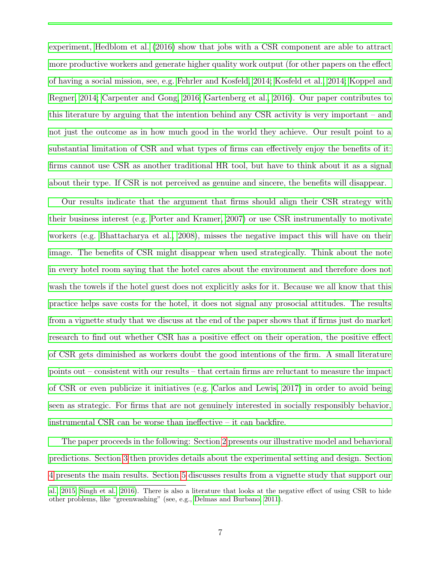[experiment, Hedblom et al. \(2016\) show that jobs with a CSR component are able to attract](#page-38-13) [more productive workers and generate higher quality work output \(for other papers on the effect](#page-38-13) [of having a social mission, see, e.g. Fehrler and Kosfeld, 2014; Kosfeld et al., 2014; Koppel and](#page-38-13) [Regner, 2014; Carpenter and Gong, 2016; Gartenberg et al., 2016\). Our paper contributes to](#page-38-13) [this literature by arguing that the intention behind any CSR activity is very important – and](#page-38-13) [not just the outcome as in how much good in the world they achieve. Our result point to a](#page-38-13) [substantial limitation of CSR and what types of firms can effectively enjoy the benefits of it:](#page-38-13) [firms cannot use CSR as another traditional HR tool, but have to think about it as a signal](#page-38-13) [about their type. If CSR is not perceived as genuine and sincere, the benefits will disappear.](#page-38-13)

[Our results indicate that the argument that firms should align their CSR strategy with](#page-38-13) [their business interest \(e.g. Porter and Kramer, 2007\) or use CSR instrumentally to motivate](#page-38-13) [workers \(e.g. Bhattacharya et al., 2008\), misses the negative impact this will have on their](#page-38-13) [image. The benefits of CSR might disappear when used strategically. Think about the note](#page-38-13) [in every hotel room saying that the hotel cares about the environment and therefore does not](#page-38-13) [wash the towels if the hotel guest does not explicitly asks for it. Because we all know that this](#page-38-13) [practice helps save costs for the hotel, it does not signal any prosocial attitudes. The results](#page-38-13) [from a vignette study that we discuss at the end of the paper shows that if firms just do market](#page-38-13) [research to find out whether CSR has a positive effect on their operation, the positive effect](#page-38-13) [of CSR gets diminished as workers doubt the good intentions of the firm. A small literature](#page-38-13) [points out – consistent with our results – that certain firms are reluctant to measure the impact](#page-38-13) [of CSR or even publicize it initiatives \(e.g. Carlos and Lewis, 2017\) in order to avoid being](#page-38-13) [seen as strategic. For firms that are not genuinely interested in socially responsibly behavior,](#page-38-13) [instrumental CSR can be worse than ineffective – it can backfire.](#page-38-13)

[The paper proceeds in the following: Section 2 presents our illustrative model and behavioral](#page-38-13) [predictions. Section 3 then provides details about the experimental setting and design. Section](#page-38-13) [4 presents the main results. Section 5 discusses results from a vignette study that support our](#page-38-13)

[al., 2015;](#page-38-13) [Singh et al., 2016\)](#page-41-9). There is also a literature that looks at the negative effect of using CSR to hide other problems, like "greenwashing" (see, e.g., [Delmas and Burbano, 2011\)](#page-39-13).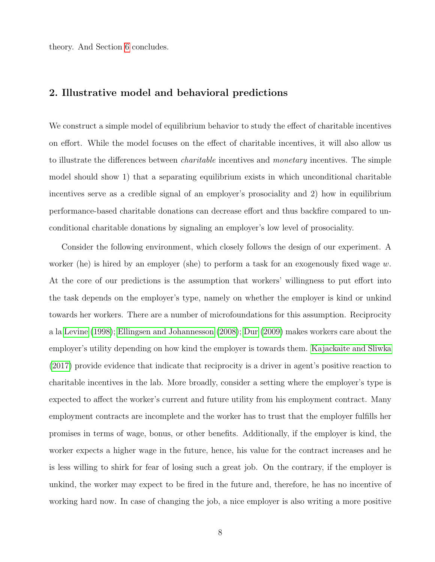theory. And Section [6](#page-35-0) concludes.

# <span id="page-8-0"></span>2. Illustrative model and behavioral predictions

We construct a simple model of equilibrium behavior to study the effect of charitable incentives on effort. While the model focuses on the effect of charitable incentives, it will also allow us to illustrate the differences between *charitable* incentives and *monetary* incentives. The simple model should show 1) that a separating equilibrium exists in which unconditional charitable incentives serve as a credible signal of an employer's prosociality and 2) how in equilibrium performance-based charitable donations can decrease effort and thus backfire compared to unconditional charitable donations by signaling an employer's low level of prosociality.

Consider the following environment, which closely follows the design of our experiment. A worker (he) is hired by an employer (she) to perform a task for an exogenously fixed wage w. At the core of our predictions is the assumption that workers' willingness to put effort into the task depends on the employer's type, namely on whether the employer is kind or unkind towards her workers. There are a number of microfoundations for this assumption. Reciprocity a la [Levine](#page-41-10) [\(1998\)](#page-41-10); [Ellingsen and Johannesson](#page-39-14) [\(2008\)](#page-39-14); [Dur](#page-39-15) [\(2009\)](#page-39-15) makes workers care about the employer's utility depending on how kind the employer is towards them. [Kajackaite and Sliwka](#page-40-1) [\(2017\)](#page-40-1) provide evidence that indicate that reciprocity is a driver in agent's positive reaction to charitable incentives in the lab. More broadly, consider a setting where the employer's type is expected to affect the worker's current and future utility from his employment contract. Many employment contracts are incomplete and the worker has to trust that the employer fulfills her promises in terms of wage, bonus, or other benefits. Additionally, if the employer is kind, the worker expects a higher wage in the future, hence, his value for the contract increases and he is less willing to shirk for fear of losing such a great job. On the contrary, if the employer is unkind, the worker may expect to be fired in the future and, therefore, he has no incentive of working hard now. In case of changing the job, a nice employer is also writing a more positive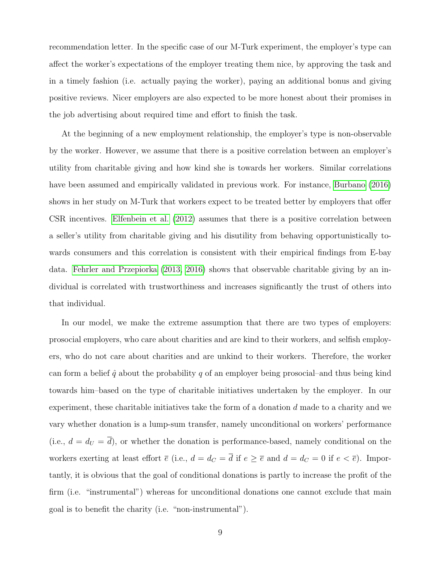recommendation letter. In the specific case of our M-Turk experiment, the employer's type can affect the worker's expectations of the employer treating them nice, by approving the task and in a timely fashion (i.e. actually paying the worker), paying an additional bonus and giving positive reviews. Nicer employers are also expected to be more honest about their promises in the job advertising about required time and effort to finish the task.

At the beginning of a new employment relationship, the employer's type is non-observable by the worker. However, we assume that there is a positive correlation between an employer's utility from charitable giving and how kind she is towards her workers. Similar correlations have been assumed and empirically validated in previous work. For instance, [Burbano](#page-38-1) [\(2016\)](#page-38-1) shows in her study on M-Turk that workers expect to be treated better by employers that offer CSR incentives. [Elfenbein et al.](#page-39-4) [\(2012\)](#page-39-4) assumes that there is a positive correlation between a seller's utility from charitable giving and his disutility from behaving opportunistically towards consumers and this correlation is consistent with their empirical findings from E-bay data. [Fehrler and Przepiorka](#page-39-5) [\(2013,](#page-39-5) [2016\)](#page-39-6) shows that observable charitable giving by an individual is correlated with trustworthiness and increases significantly the trust of others into that individual.

In our model, we make the extreme assumption that there are two types of employers: prosocial employers, who care about charities and are kind to their workers, and selfish employers, who do not care about charities and are unkind to their workers. Therefore, the worker can form a belief  $\hat{q}$  about the probability q of an employer being prosocial–and thus being kind towards him–based on the type of charitable initiatives undertaken by the employer. In our experiment, these charitable initiatives take the form of a donation  $d$  made to a charity and we vary whether donation is a lump-sum transfer, namely unconditional on workers' performance (i.e.,  $d = d_U = \overline{d}$ ), or whether the donation is performance-based, namely conditional on the workers exerting at least effort  $\overline{e}$  (i.e.,  $d = d_C = \overline{d}$  if  $e \ge \overline{e}$  and  $d = d_C = 0$  if  $e < \overline{e}$ ). Importantly, it is obvious that the goal of conditional donations is partly to increase the profit of the firm (i.e. "instrumental") whereas for unconditional donations one cannot exclude that main goal is to benefit the charity (i.e. "non-instrumental").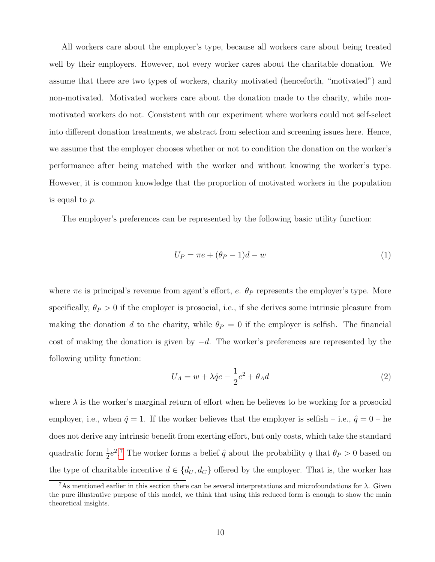All workers care about the employer's type, because all workers care about being treated well by their employers. However, not every worker cares about the charitable donation. We assume that there are two types of workers, charity motivated (henceforth, "motivated") and non-motivated. Motivated workers care about the donation made to the charity, while nonmotivated workers do not. Consistent with our experiment where workers could not self-select into different donation treatments, we abstract from selection and screening issues here. Hence, we assume that the employer chooses whether or not to condition the donation on the worker's performance after being matched with the worker and without knowing the worker's type. However, it is common knowledge that the proportion of motivated workers in the population is equal to p.

The employer's preferences can be represented by the following basic utility function:

$$
U_P = \pi e + (\theta_P - 1)d - w \tag{1}
$$

where  $\pi e$  is principal's revenue from agent's effort, e.  $\theta_P$  represents the employer's type. More specifically,  $\theta_P > 0$  if the employer is prosocial, i.e., if she derives some intrinsic pleasure from making the donation d to the charity, while  $\theta_P = 0$  if the employer is selfish. The financial cost of making the donation is given by  $-d$ . The worker's preferences are represented by the following utility function:

$$
U_A = w + \lambda \hat{q}e - \frac{1}{2}e^2 + \theta_A d \tag{2}
$$

where  $\lambda$  is the worker's marginal return of effort when he believes to be working for a prosocial employer, i.e., when  $\hat{q} = 1$ . If the worker believes that the employer is selfish – i.e.,  $\hat{q} = 0$  – he does not derive any intrinsic benefit from exerting effort, but only costs, which take the standard quadratic form  $\frac{1}{2}e^{2}$ .<sup>[7](#page--1-0)</sup> The worker forms a belief  $\hat{q}$  about the probability q that  $\theta_P > 0$  based on the type of charitable incentive  $d \in \{d_U, d_C\}$  offered by the employer. That is, the worker has

<sup>&</sup>lt;sup>7</sup>As mentioned earlier in this section there can be several interpretations and microfoundations for  $\lambda$ . Given the pure illustrative purpose of this model, we think that using this reduced form is enough to show the main theoretical insights.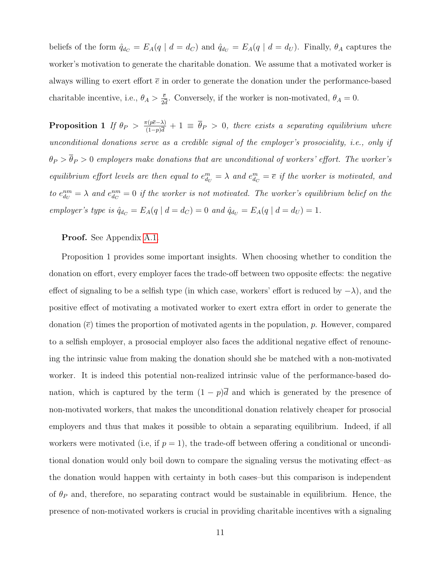beliefs of the form  $\hat{q}_{d_C} = E_A(q \mid d = d_C)$  and  $\hat{q}_{d_U} = E_A(q \mid d = d_U)$ . Finally,  $\theta_A$  captures the worker's motivation to generate the charitable donation. We assume that a motivated worker is always willing to exert effort  $\bar{e}$  in order to generate the donation under the performance-based charitable incentive, i.e.,  $\theta_A > \frac{\bar{e}}{2\bar{e}}$  $\frac{\bar{e}}{2\bar{d}}$ . Conversely, if the worker is non-motivated,  $\theta_A = 0$ .

**Proposition 1** If  $\theta_P > \frac{\pi(p\bar{e}-\lambda)}{(1-p)\bar{d}}$  $\frac{\pi(p e - \lambda)}{(1-p)\overline{d}} + 1 \equiv \theta_P > 0$ , there exists a separating equilibrium where unconditional donations serve as a credible signal of the employer's prosociality, i.e., only if  $\theta_P > \overline{\theta}_P > 0$  employers make donations that are unconditional of workers' effort. The worker's equilibrium effort levels are then equal to  $e_{d_U}^m = \lambda$  and  $e_{d_C}^m = \overline{e}$  if the worker is motivated, and to  $e_{d_U}^{nm} = \lambda$  and  $e_{d_C}^{nm} = 0$  if the worker is not motivated. The worker's equilibrium belief on the employer's type is  $\hat{q}_{d_C} = E_A(q \mid d = d_C) = 0$  and  $\hat{q}_{d_U} = E_A(q \mid d = d_U) = 1$ .

Proof. See Appendix [A.1.](#page-42-0)

Proposition 1 provides some important insights. When choosing whether to condition the donation on effort, every employer faces the trade-off between two opposite effects: the negative effect of signaling to be a selfish type (in which case, workers' effort is reduced by  $-\lambda$ ), and the positive effect of motivating a motivated worker to exert extra effort in order to generate the donation  $(\bar{e})$  times the proportion of motivated agents in the population, p. However, compared to a selfish employer, a prosocial employer also faces the additional negative effect of renouncing the intrinsic value from making the donation should she be matched with a non-motivated worker. It is indeed this potential non-realized intrinsic value of the performance-based donation, which is captured by the term  $(1 - p)\overline{d}$  and which is generated by the presence of non-motivated workers, that makes the unconditional donation relatively cheaper for prosocial employers and thus that makes it possible to obtain a separating equilibrium. Indeed, if all workers were motivated (i.e, if  $p = 1$ ), the trade-off between offering a conditional or unconditional donation would only boil down to compare the signaling versus the motivating effect–as the donation would happen with certainty in both cases–but this comparison is independent of  $\theta_P$  and, therefore, no separating contract would be sustainable in equilibrium. Hence, the presence of non-motivated workers is crucial in providing charitable incentives with a signaling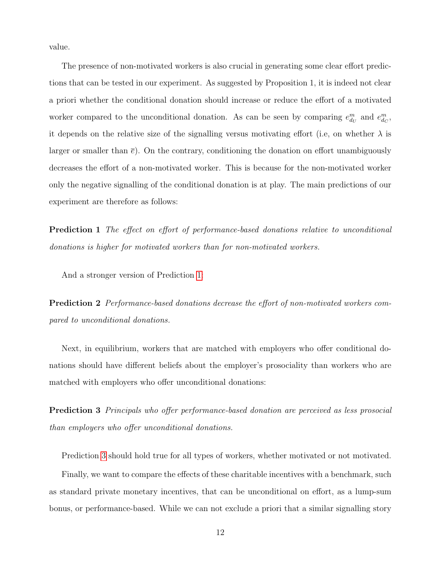value.

The presence of non-motivated workers is also crucial in generating some clear effort predictions that can be tested in our experiment. As suggested by Proposition 1, it is indeed not clear a priori whether the conditional donation should increase or reduce the effort of a motivated worker compared to the unconditional donation. As can be seen by comparing  $e_{d_U}^m$  and  $e_{d_C}^m$ , it depends on the relative size of the signalling versus motivating effort (i.e., on whether  $\lambda$  is larger or smaller than  $\bar{e}$ ). On the contrary, conditioning the donation on effort unambiguously decreases the effort of a non-motivated worker. This is because for the non-motivated worker only the negative signalling of the conditional donation is at play. The main predictions of our experiment are therefore as follows:

<span id="page-12-0"></span>**Prediction 1** The effect on effort of performance-based donations relative to unconditional donations is higher for motivated workers than for non-motivated workers.

And a stronger version of Prediction [1:](#page-12-0)

**Prediction 2** Performance-based donations decrease the effort of non-motivated workers compared to unconditional donations.

Next, in equilibrium, workers that are matched with employers who offer conditional donations should have different beliefs about the employer's prosociality than workers who are matched with employers who offer unconditional donations:

<span id="page-12-1"></span>**Prediction 3** Principals who offer performance-based donation are perceived as less prosocial than employers who offer unconditional donations.

Prediction [3](#page-12-1) should hold true for all types of workers, whether motivated or not motivated.

Finally, we want to compare the effects of these charitable incentives with a benchmark, such as standard private monetary incentives, that can be unconditional on effort, as a lump-sum bonus, or performance-based. While we can not exclude a priori that a similar signalling story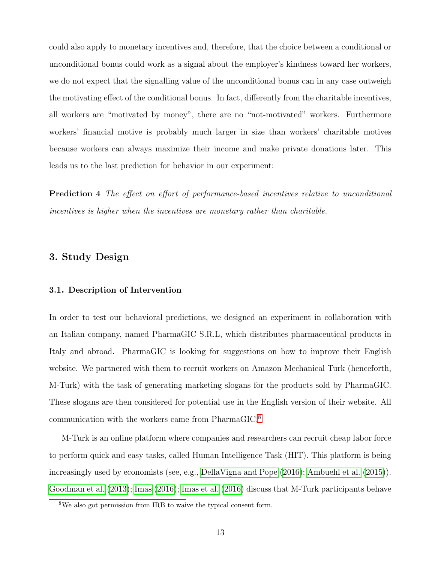could also apply to monetary incentives and, therefore, that the choice between a conditional or unconditional bonus could work as a signal about the employer's kindness toward her workers, we do not expect that the signalling value of the unconditional bonus can in any case outweigh the motivating effect of the conditional bonus. In fact, differently from the charitable incentives, all workers are "motivated by money", there are no "not-motivated" workers. Furthermore workers' financial motive is probably much larger in size than workers' charitable motives because workers can always maximize their income and make private donations later. This leads us to the last prediction for behavior in our experiment:

Prediction 4 The effect on effort of performance-based incentives relative to unconditional incentives is higher when the incentives are monetary rather than charitable.

# <span id="page-13-0"></span>3. Study Design

### 3.1. Description of Intervention

In order to test our behavioral predictions, we designed an experiment in collaboration with an Italian company, named PharmaGIC S.R.L, which distributes pharmaceutical products in Italy and abroad. PharmaGIC is looking for suggestions on how to improve their English website. We partnered with them to recruit workers on Amazon Mechanical Turk (henceforth, M-Turk) with the task of generating marketing slogans for the products sold by PharmaGIC. These slogans are then considered for potential use in the English version of their website. All communication with the workers came from PharmaGIC.[8](#page--1-0)

M-Turk is an online platform where companies and researchers can recruit cheap labor force to perform quick and easy tasks, called Human Intelligence Task (HIT). This platform is being increasingly used by economists (see, e.g., [DellaVigna and Pope](#page-39-11) [\(2016\)](#page-39-11); [Ambuehl et al.](#page-38-15) [\(2015\)](#page-38-15)). [Goodman et al.](#page-40-11) [\(2013\)](#page-40-11); [Imas](#page-40-12) [\(2016\)](#page-40-12); [Imas et al.](#page-40-13) [\(2016\)](#page-40-13) discuss that M-Turk participants behave

<sup>8</sup>We also got permission from IRB to waive the typical consent form.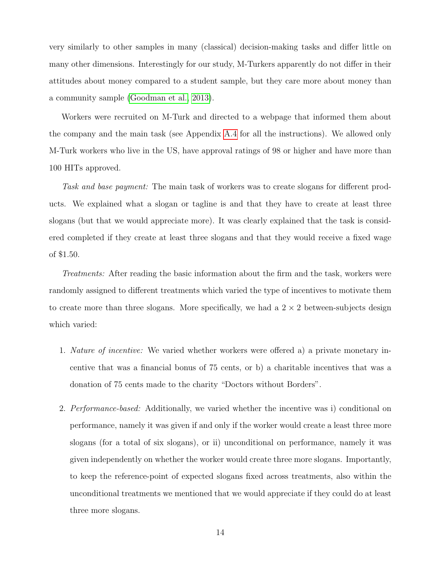very similarly to other samples in many (classical) decision-making tasks and differ little on many other dimensions. Interestingly for our study, M-Turkers apparently do not differ in their attitudes about money compared to a student sample, but they care more about money than a community sample [\(Goodman et al., 2013\)](#page-40-11).

Workers were recruited on M-Turk and directed to a webpage that informed them about the company and the main task (see Appendix [A.4](#page-52-0) for all the instructions). We allowed only M-Turk workers who live in the US, have approval ratings of 98 or higher and have more than 100 HITs approved.

Task and base payment: The main task of workers was to create slogans for different products. We explained what a slogan or tagline is and that they have to create at least three slogans (but that we would appreciate more). It was clearly explained that the task is considered completed if they create at least three slogans and that they would receive a fixed wage of \$1.50.

Treatments: After reading the basic information about the firm and the task, workers were randomly assigned to different treatments which varied the type of incentives to motivate them to create more than three slogans. More specifically, we had a  $2 \times 2$  between-subjects design which varied:

- 1. Nature of incentive: We varied whether workers were offered a) a private monetary incentive that was a financial bonus of 75 cents, or b) a charitable incentives that was a donation of 75 cents made to the charity "Doctors without Borders".
- 2. Performance-based: Additionally, we varied whether the incentive was i) conditional on performance, namely it was given if and only if the worker would create a least three more slogans (for a total of six slogans), or ii) unconditional on performance, namely it was given independently on whether the worker would create three more slogans. Importantly, to keep the reference-point of expected slogans fixed across treatments, also within the unconditional treatments we mentioned that we would appreciate if they could do at least three more slogans.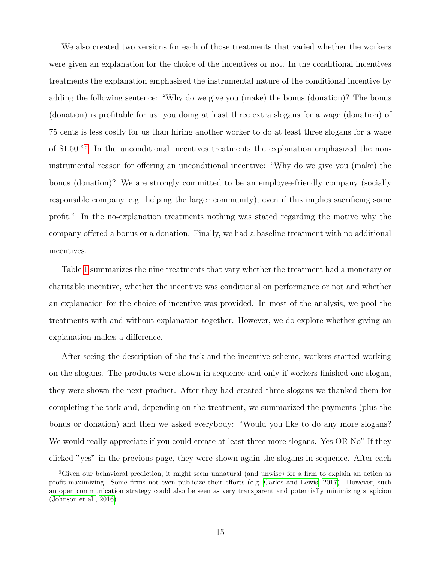We also created two versions for each of those treatments that varied whether the workers were given an explanation for the choice of the incentives or not. In the conditional incentives treatments the explanation emphasized the instrumental nature of the conditional incentive by adding the following sentence: "Why do we give you (make) the bonus (donation)? The bonus (donation) is profitable for us: you doing at least three extra slogans for a wage (donation) of 75 cents is less costly for us than hiring another worker to do at least three slogans for a wage of \$1.50."[9](#page--1-0) In the unconditional incentives treatments the explanation emphasized the noninstrumental reason for offering an unconditional incentive: "Why do we give you (make) the bonus (donation)? We are strongly committed to be an employee-friendly company (socially responsible company–e.g. helping the larger community), even if this implies sacrificing some profit." In the no-explanation treatments nothing was stated regarding the motive why the company offered a bonus or a donation. Finally, we had a baseline treatment with no additional incentives.

Table [1](#page-16-0) summarizes the nine treatments that vary whether the treatment had a monetary or charitable incentive, whether the incentive was conditional on performance or not and whether an explanation for the choice of incentive was provided. In most of the analysis, we pool the treatments with and without explanation together. However, we do explore whether giving an explanation makes a difference.

After seeing the description of the task and the incentive scheme, workers started working on the slogans. The products were shown in sequence and only if workers finished one slogan, they were shown the next product. After they had created three slogans we thanked them for completing the task and, depending on the treatment, we summarized the payments (plus the bonus or donation) and then we asked everybody: "Would you like to do any more slogans? We would really appreciate if you could create at least three more slogans. Yes OR No" If they clicked "yes" in the previous page, they were shown again the slogans in sequence. After each

<sup>9</sup>Given our behavioral prediction, it might seem unnatural (and unwise) for a firm to explain an action as profit-maximizing. Some firms not even publicize their efforts (e.g. [Carlos and Lewis, 2017\)](#page-38-14). However, such an open communication strategy could also be seen as very transparent and potentially minimizing suspicion [\(Johnson et al., 2016\)](#page-40-14).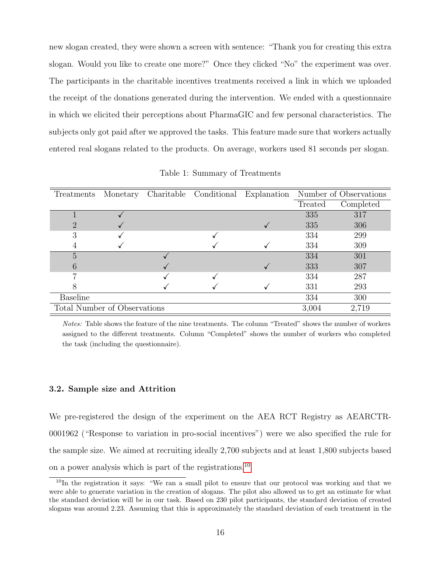new slogan created, they were shown a screen with sentence: "Thank you for creating this extra slogan. Would you like to create one more?" Once they clicked "No" the experiment was over. The participants in the charitable incentives treatments received a link in which we uploaded the receipt of the donations generated during the intervention. We ended with a questionnaire in which we elicited their perceptions about PharmaGIC and few personal characteristics. The subjects only got paid after we approved the tasks. This feature made sure that workers actually entered real slogans related to the products. On average, workers used 81 seconds per slogan.

| Treatments                   | Monetary | Charitable Conditional | Explanation |         | Number of Observations |
|------------------------------|----------|------------------------|-------------|---------|------------------------|
|                              |          |                        |             | Treated | Completed              |
|                              |          |                        |             | 335     | 317                    |
|                              |          |                        |             | 335     | 306                    |
| 3                            |          |                        |             | 334     | 299                    |
|                              |          |                        |             | 334     | 309                    |
| 5                            |          |                        |             | 334     | 301                    |
|                              |          |                        |             | 333     | 307                    |
|                              |          |                        |             | 334     | 287                    |
| 8                            |          |                        |             | 331     | 293                    |
| <b>Baseline</b>              |          |                        |             | 334     | 300                    |
| Total Number of Observations |          |                        |             | 3,004   | 2,719                  |

<span id="page-16-0"></span>Table 1: Summary of Treatments

Notes: Table shows the feature of the nine treatments. The column "Treated" shows the number of workers assigned to the different treatments. Column "Completed" shows the number of workers who completed the task (including the questionnaire).

## <span id="page-16-1"></span>3.2. Sample size and Attrition

We pre-registered the design of the experiment on the AEA RCT Registry as AEARCTR-0001962 ("Response to variation in pro-social incentives") were we also specified the rule for the sample size. We aimed at recruiting ideally 2,700 subjects and at least 1,800 subjects based on a power analysis which is part of the registrations.<sup>[10](#page--1-0)</sup>

<sup>&</sup>lt;sup>10</sup>In the registration it says: "We ran a small pilot to ensure that our protocol was working and that we were able to generate variation in the creation of slogans. The pilot also allowed us to get an estimate for what the standard deviation will be in our task. Based on 230 pilot participants, the standard deviation of created slogans was around 2.23. Assuming that this is approximately the standard deviation of each treatment in the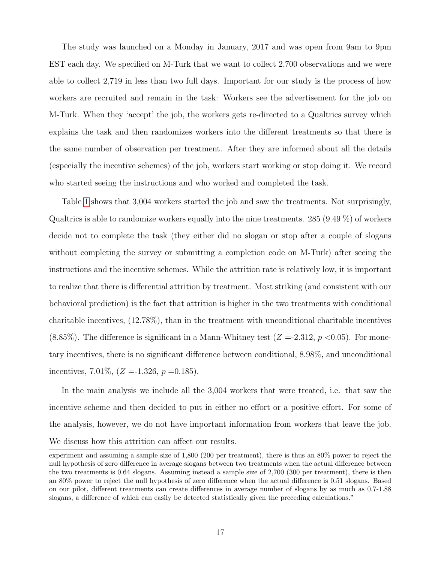The study was launched on a Monday in January, 2017 and was open from 9am to 9pm EST each day. We specified on M-Turk that we want to collect 2,700 observations and we were able to collect 2,719 in less than two full days. Important for our study is the process of how workers are recruited and remain in the task: Workers see the advertisement for the job on M-Turk. When they 'accept' the job, the workers gets re-directed to a Qualtrics survey which explains the task and then randomizes workers into the different treatments so that there is the same number of observation per treatment. After they are informed about all the details (especially the incentive schemes) of the job, workers start working or stop doing it. We record who started seeing the instructions and who worked and completed the task.

Table [1](#page-16-0) shows that 3,004 workers started the job and saw the treatments. Not surprisingly, Qualtrics is able to randomize workers equally into the nine treatments. 285 (9.49  $\%$ ) of workers decide not to complete the task (they either did no slogan or stop after a couple of slogans without completing the survey or submitting a completion code on M-Turk) after seeing the instructions and the incentive schemes. While the attrition rate is relatively low, it is important to realize that there is differential attrition by treatment. Most striking (and consistent with our behavioral prediction) is the fact that attrition is higher in the two treatments with conditional charitable incentives, (12.78%), than in the treatment with unconditional charitable incentives  $(8.85\%)$ . The difference is significant in a Mann-Whitney test  $(Z = 2.312, p < 0.05)$ . For monetary incentives, there is no significant difference between conditional, 8.98%, and unconditional incentives, 7.01\%,  $(Z = -1.326, p = 0.185)$ .

In the main analysis we include all the 3,004 workers that were treated, i.e. that saw the incentive scheme and then decided to put in either no effort or a positive effort. For some of the analysis, however, we do not have important information from workers that leave the job. We discuss how this attrition can affect our results.

experiment and assuming a sample size of 1,800 (200 per treatment), there is thus an 80% power to reject the null hypothesis of zero difference in average slogans between two treatments when the actual difference between the two treatments is 0.64 slogans. Assuming instead a sample size of 2,700 (300 per treatment), there is then an 80% power to reject the null hypothesis of zero difference when the actual difference is 0.51 slogans. Based on our pilot, different treatments can create differences in average number of slogans by as much as 0.7-1.88 slogans, a difference of which can easily be detected statistically given the preceding calculations."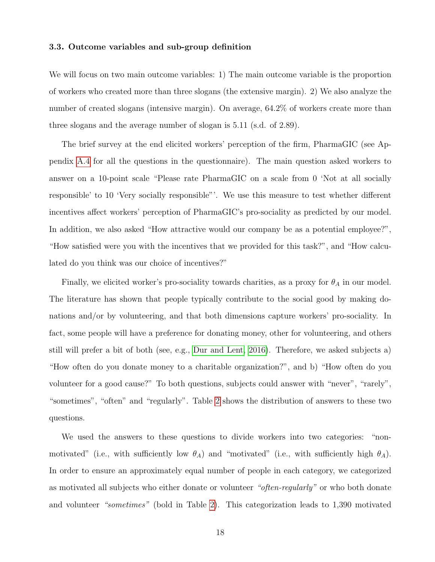## 3.3. Outcome variables and sub-group definition

We will focus on two main outcome variables: 1) The main outcome variable is the proportion of workers who created more than three slogans (the extensive margin). 2) We also analyze the number of created slogans (intensive margin). On average, 64.2% of workers create more than three slogans and the average number of slogan is 5.11 (s.d. of 2.89).

The brief survey at the end elicited workers' perception of the firm, PharmaGIC (see Appendix [A.4](#page-52-0) for all the questions in the questionnaire). The main question asked workers to answer on a 10-point scale "Please rate PharmaGIC on a scale from 0 'Not at all socially responsible' to 10 'Very socially responsible"'. We use this measure to test whether different incentives affect workers' perception of PharmaGIC's pro-sociality as predicted by our model. In addition, we also asked "How attractive would our company be as a potential employee?", "How satisfied were you with the incentives that we provided for this task?", and "How calculated do you think was our choice of incentives?"

Finally, we elicited worker's pro-sociality towards charities, as a proxy for  $\theta_A$  in our model. The literature has shown that people typically contribute to the social good by making donations and/or by volunteering, and that both dimensions capture workers' pro-sociality. In fact, some people will have a preference for donating money, other for volunteering, and others still will prefer a bit of both (see, e.g., [Dur and Lent, 2016\)](#page-39-16). Therefore, we asked subjects a) "How often do you donate money to a charitable organization?", and b) "How often do you volunteer for a good cause?" To both questions, subjects could answer with "never", "rarely", "sometimes", "often" and "regularly". Table [2](#page-19-1) shows the distribution of answers to these two questions.

We used the answers to these questions to divide workers into two categories: "nonmotivated" (i.e., with sufficiently low  $\theta_A$ ) and "motivated" (i.e., with sufficiently high  $\theta_A$ ). In order to ensure an approximately equal number of people in each category, we categorized as motivated all subjects who either donate or volunteer "often-regularly" or who both donate and volunteer "sometimes" (bold in Table [2\)](#page-19-1). This categorization leads to 1,390 motivated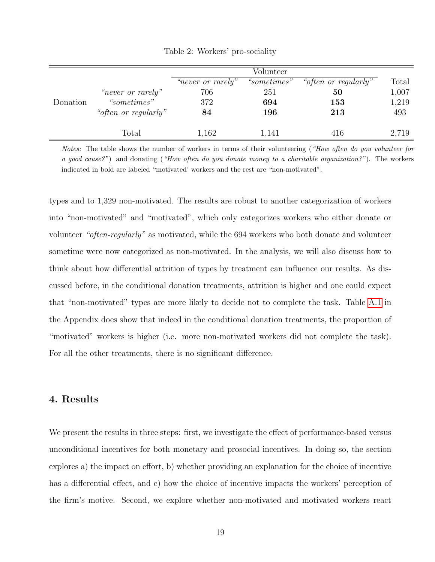|          |                      |                   | Volunteer   |                      |       |
|----------|----------------------|-------------------|-------------|----------------------|-------|
|          |                      | "never or rarely" | "sometimes" | "often or regularly" | Total |
|          | "never or rarely"    | 706               | 251         | 50                   | 1,007 |
| Donation | "sometimes"          | 372               | 694         | 153                  | 1,219 |
|          | "often or regularly" | 84                | 196         | 213                  | 493   |
|          | Total                | 1,162             | 1,141       | 416                  | 2,719 |

<span id="page-19-1"></span>Table 2: Workers' pro-sociality

Notes: The table shows the number of workers in terms of their volunteering ("How often do you volunteer for a good cause?") and donating ("How often do you donate money to a charitable organization?"). The workers indicated in bold are labeled "motivated' workers and the rest are "non-motivated".

types and to 1,329 non-motivated. The results are robust to another categorization of workers into "non-motivated" and "motivated", which only categorizes workers who either donate or volunteer "often-regularly" as motivated, while the 694 workers who both donate and volunteer sometime were now categorized as non-motivated. In the analysis, we will also discuss how to think about how differential attrition of types by treatment can influence our results. As discussed before, in the conditional donation treatments, attrition is higher and one could expect that "non-motivated" types are more likely to decide not to complete the task. Table [A.1](#page-16-0) in the Appendix does show that indeed in the conditional donation treatments, the proportion of "motivated" workers is higher (i.e. more non-motivated workers did not complete the task). For all the other treatments, there is no significant difference.

# <span id="page-19-0"></span>4. Results

We present the results in three steps: first, we investigate the effect of performance-based versus unconditional incentives for both monetary and prosocial incentives. In doing so, the section explores a) the impact on effort, b) whether providing an explanation for the choice of incentive has a differential effect, and c) how the choice of incentive impacts the workers' perception of the firm's motive. Second, we explore whether non-motivated and motivated workers react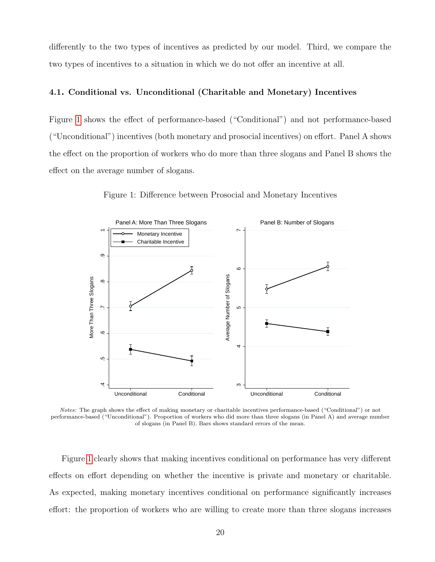differently to the two types of incentives as predicted by our model. Third, we compare the two types of incentives to a situation in which we do not offer an incentive at all.

### 4.1. Conditional vs. Unconditional (Charitable and Monetary) Incentives

Figure [1](#page-20-0) shows the effect of performance-based ("Conditional") and not performance-based ("Unconditional") incentives (both monetary and prosocial incentives) on effort. Panel A shows the effect on the proportion of workers who do more than three slogans and Panel B shows the effect on the average number of slogans.



<span id="page-20-0"></span>Figure 1: Difference between Prosocial and Monetary Incentives

Notes: The graph shows the effect of making monetary or charitable incentives performance-based ("Conditional") or not performance-based ("Unconditional"). Proportion of workers who did more than three slogans (in Panel A) and average number of slogans (in Panel B). Bars shows standard errors of the mean.

Figure [1](#page-20-0) clearly shows that making incentives conditional on performance has very different effects on effort depending on whether the incentive is private and monetary or charitable. As expected, making monetary incentives conditional on performance significantly increases effort: the proportion of workers who are willing to create more than three slogans increases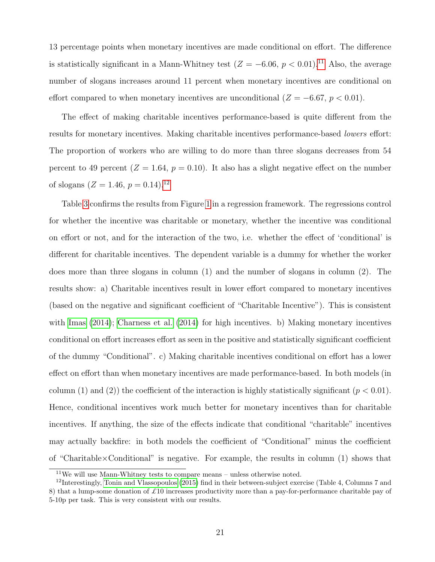13 percentage points when monetary incentives are made conditional on effort. The difference is statistically significant in a Mann-Whitney test  $(Z = -6.06, p < 0.01).$ <sup>[11](#page--1-0)</sup> Also, the average number of slogans increases around 11 percent when monetary incentives are conditional on effort compared to when monetary incentives are unconditional  $(Z = -6.67, p < 0.01)$ .

The effect of making charitable incentives performance-based is quite different from the results for monetary incentives. Making charitable incentives performance-based *lowers* effort: The proportion of workers who are willing to do more than three slogans decreases from 54 percent to 49 percent ( $Z = 1.64$ ,  $p = 0.10$ ). It also has a slight negative effect on the number of slogans  $(Z = 1.46, p = 0.14).^{12}$  $(Z = 1.46, p = 0.14).^{12}$  $(Z = 1.46, p = 0.14).^{12}$ 

Table [3](#page-22-0) confirms the results from Figure [1](#page-20-0) in a regression framework. The regressions control for whether the incentive was charitable or monetary, whether the incentive was conditional on effort or not, and for the interaction of the two, i.e. whether the effect of 'conditional' is different for charitable incentives. The dependent variable is a dummy for whether the worker does more than three slogans in column (1) and the number of slogans in column (2). The results show: a) Charitable incentives result in lower effort compared to monetary incentives (based on the negative and significant coefficient of "Charitable Incentive"). This is consistent with [Imas](#page-40-0) [\(2014\)](#page-40-0); [Charness et al.](#page-39-0) [\(2014\)](#page-39-0) for high incentives. b) Making monetary incentives conditional on effort increases effort as seen in the positive and statistically significant coefficient of the dummy "Conditional". c) Making charitable incentives conditional on effort has a lower effect on effort than when monetary incentives are made performance-based. In both models (in column (1) and (2)) the coefficient of the interaction is highly statistically significant ( $p < 0.01$ ). Hence, conditional incentives work much better for monetary incentives than for charitable incentives. If anything, the size of the effects indicate that conditional "charitable" incentives may actually backfire: in both models the coefficient of "Conditional" minus the coefficient of "Charitable×Conditional" is negative. For example, the results in column (1) shows that

 $11$ We will use Mann-Whitney tests to compare means – unless otherwise noted.

 $12$ Interestingly, [Tonin and Vlassopoulos](#page-41-1) [\(2015\)](#page-41-1) find in their between-subject exercise (Table 4, Columns 7 and 8) that a lump-some donation of  $\pounds 10$  increases productivity more than a pay-for-performance charitable pay of 5-10p per task. This is very consistent with our results.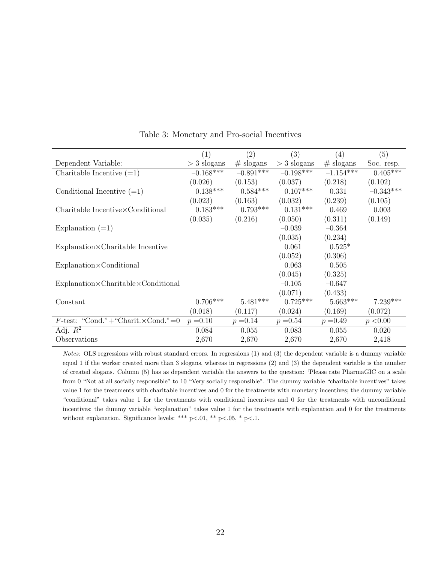|                                                         | (1)           | (2)         | (3)           | (4)         | (5)                   |
|---------------------------------------------------------|---------------|-------------|---------------|-------------|-----------------------|
| Dependent Variable:                                     | $>$ 3 slogans | $#$ slogans | $>$ 3 slogans | $#$ slogans | Soc. resp.            |
| Charitable Incentive $(=1)$                             | $-0.168***$   | $-0.891***$ | $-0.198***$   | $-1.154***$ | $0.40\overline{5***}$ |
|                                                         | (0.026)       | (0.153)     | (0.037)       | (0.218)     | (0.102)               |
| Conditional Incentive $(=1)$                            | $0.138***$    | $0.584***$  | $0.107***$    | 0.331       | $-0.343***$           |
|                                                         | (0.023)       | (0.163)     | (0.032)       | (0.239)     | (0.105)               |
| $Charitable\ Incentive\times Conditional$               | $-0.183***$   | $-0.793***$ | $-0.131***$   | $-0.469$    | $-0.003$              |
|                                                         | (0.035)       | (0.216)     | (0.050)       | (0.311)     | (0.149)               |
| Explanation $(=1)$                                      |               |             | $-0.039$      | $-0.364$    |                       |
|                                                         |               |             | (0.035)       | (0.234)     |                       |
| $Explanation \times$ Charitable Incentive               |               |             | 0.061         | $0.525*$    |                       |
|                                                         |               |             | (0.052)       | (0.306)     |                       |
| $Explanation \times Conditional$                        |               |             | 0.063         | 0.505       |                       |
|                                                         |               |             | (0.045)       | (0.325)     |                       |
| $Explanation \times Charitable \times Conditional$      |               |             | $-0.105$      | $-0.647$    |                       |
|                                                         |               |             | (0.071)       | (0.433)     |                       |
| Constant                                                | $0.706***$    | $5.481***$  | $0.725***$    | $5.663***$  | $7.239***$            |
|                                                         | (0.018)       | (0.117)     | (0.024)       | (0.169)     | (0.072)               |
| $F\text{-test:}$ "Cond." + "Charit. $\times$ Cond." = 0 | $p = 0.10$    | $p = 0.14$  | $p = 0.54$    | $p = 0.49$  | p < 0.00              |
| Adj. $R^2$                                              | 0.084         | 0.055       | 0.083         | 0.055       | 0.020                 |
| Observations                                            | 2,670         | 2,670       | 2,670         | 2,670       | 2,418                 |

<span id="page-22-0"></span>Table 3: Monetary and Pro-social Incentives

Notes: OLS regressions with robust standard errors. In regressions (1) and (3) the dependent variable is a dummy variable equal 1 if the worker created more than 3 slogans, whereas in regressions (2) and (3) the dependent variable is the number of created slogans. Column (5) has as dependent variable the answers to the question: 'Please rate PharmaGIC on a scale from 0 "Not at all socially responsible" to 10 "Very socially responsible". The dummy variable "charitable incentives" takes value 1 for the treatments with charitable incentives and 0 for the treatments with monetary incentives; the dummy variable "conditional" takes value 1 for the treatments with conditional incentives and 0 for the treatments with unconditional incentives; the dummy variable "explanation" takes value 1 for the treatments with explanation and 0 for the treatments without explanation. Significance levels: \*\*\* p<.01, \*\* p<.05, \* p<.1.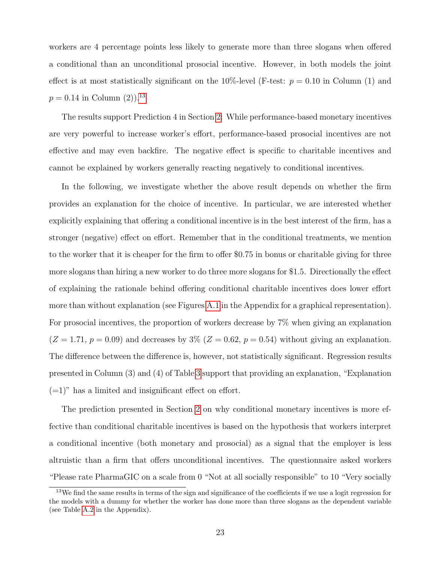workers are 4 percentage points less likely to generate more than three slogans when offered a conditional than an unconditional prosocial incentive. However, in both models the joint effect is at most statistically significant on the 10%-level (F-test:  $p = 0.10$  in Column (1) and  $p = 0.14$  in Column  $(2)$ .<sup>[13](#page--1-0)</sup>

The results support Prediction 4 in Section [2:](#page-8-0) While performance-based monetary incentives are very powerful to increase worker's effort, performance-based prosocial incentives are not effective and may even backfire. The negative effect is specific to charitable incentives and cannot be explained by workers generally reacting negatively to conditional incentives.

In the following, we investigate whether the above result depends on whether the firm provides an explanation for the choice of incentive. In particular, we are interested whether explicitly explaining that offering a conditional incentive is in the best interest of the firm, has a stronger (negative) effect on effort. Remember that in the conditional treatments, we mention to the worker that it is cheaper for the firm to offer \$0.75 in bonus or charitable giving for three more slogans than hiring a new worker to do three more slogans for \$1.5. Directionally the effect of explaining the rationale behind offering conditional charitable incentives does lower effort more than without explanation (see Figures [A.1](#page-20-0) in the Appendix for a graphical representation). For prosocial incentives, the proportion of workers decrease by 7% when giving an explanation  $(Z = 1.71, p = 0.09)$  and decreases by 3%  $(Z = 0.62, p = 0.54)$  without giving an explanation. The difference between the difference is, however, not statistically significant. Regression results presented in Column (3) and (4) of Table [3](#page-22-0) support that providing an explanation, "Explanation  $(=1)$ " has a limited and insignificant effect on effort.

The prediction presented in Section [2](#page-8-0) on why conditional monetary incentives is more effective than conditional charitable incentives is based on the hypothesis that workers interpret a conditional incentive (both monetary and prosocial) as a signal that the employer is less altruistic than a firm that offers unconditional incentives. The questionnaire asked workers "Please rate PharmaGIC on a scale from 0 "Not at all socially responsible" to 10 "Very socially

 $13\text{We find the same results in terms of the sign and significance of the coefficients if we use a logit regression for }$ the models with a dummy for whether the worker has done more than three slogans as the dependent variable (see Table [A.2](#page-19-1) in the Appendix).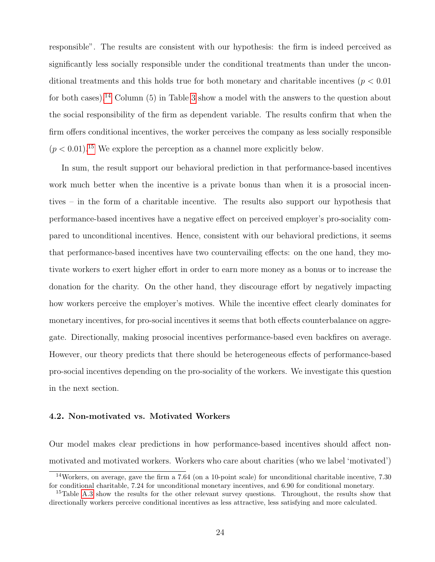responsible". The results are consistent with our hypothesis: the firm is indeed perceived as significantly less socially responsible under the conditional treatments than under the unconditional treatments and this holds true for both monetary and charitable incentives ( $p < 0.01$ ) for both cases).<sup>[14](#page--1-0)</sup> Column  $(5)$  in Table [3](#page-22-0) show a model with the answers to the question about the social responsibility of the firm as dependent variable. The results confirm that when the firm offers conditional incentives, the worker perceives the company as less socially responsible  $(p < 0.01).$ <sup>[15](#page--1-0)</sup> We explore the perception as a channel more explicitly below.

In sum, the result support our behavioral prediction in that performance-based incentives work much better when the incentive is a private bonus than when it is a prosocial incentives – in the form of a charitable incentive. The results also support our hypothesis that performance-based incentives have a negative effect on perceived employer's pro-sociality compared to unconditional incentives. Hence, consistent with our behavioral predictions, it seems that performance-based incentives have two countervailing effects: on the one hand, they motivate workers to exert higher effort in order to earn more money as a bonus or to increase the donation for the charity. On the other hand, they discourage effort by negatively impacting how workers perceive the employer's motives. While the incentive effect clearly dominates for monetary incentives, for pro-social incentives it seems that both effects counterbalance on aggregate. Directionally, making prosocial incentives performance-based even backfires on average. However, our theory predicts that there should be heterogeneous effects of performance-based pro-social incentives depending on the pro-sociality of the workers. We investigate this question in the next section.

### 4.2. Non-motivated vs. Motivated Workers

Our model makes clear predictions in how performance-based incentives should affect nonmotivated and motivated workers. Workers who care about charities (who we label 'motivated')

<sup>14</sup>Workers, on average, gave the firm a 7.64 (on a 10-point scale) for unconditional charitable incentive, 7.30 for conditional charitable, 7.24 for unconditional monetary incentives, and 6.90 for conditional monetary.

<sup>15</sup>Table [A.3](#page-22-0) show the results for the other relevant survey questions. Throughout, the results show that directionally workers perceive conditional incentives as less attractive, less satisfying and more calculated.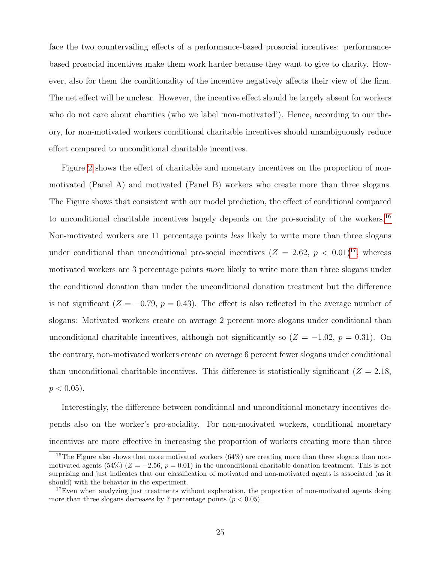face the two countervailing effects of a performance-based prosocial incentives: performancebased prosocial incentives make them work harder because they want to give to charity. However, also for them the conditionality of the incentive negatively affects their view of the firm. The net effect will be unclear. However, the incentive effect should be largely absent for workers who do not care about charities (who we label 'non-motivated'). Hence, according to our theory, for non-motivated workers conditional charitable incentives should unambiguously reduce effort compared to unconditional charitable incentives.

Figure [2](#page-26-0) shows the effect of charitable and monetary incentives on the proportion of nonmotivated (Panel A) and motivated (Panel B) workers who create more than three slogans. The Figure shows that consistent with our model prediction, the effect of conditional compared to unconditional charitable incentives largely depends on the pro-sociality of the workers.<sup>[16](#page--1-0)</sup> Non-motivated workers are 11 percentage points *less* likely to write more than three slogans under conditional than unconditional pro-social incentives  $(Z = 2.62, p < 0.01)^{17}$  $(Z = 2.62, p < 0.01)^{17}$  $(Z = 2.62, p < 0.01)^{17}$ , whereas motivated workers are 3 percentage points *more* likely to write more than three slogans under the conditional donation than under the unconditional donation treatment but the difference is not significant  $(Z = -0.79, p = 0.43)$ . The effect is also reflected in the average number of slogans: Motivated workers create on average 2 percent more slogans under conditional than unconditional charitable incentives, although not significantly so  $(Z = -1.02, p = 0.31)$ . On the contrary, non-motivated workers create on average 6 percent fewer slogans under conditional than unconditional charitable incentives. This difference is statistically significant  $(Z = 2.18,$  $p < 0.05$ ).

Interestingly, the difference between conditional and unconditional monetary incentives depends also on the worker's pro-sociality. For non-motivated workers, conditional monetary incentives are more effective in increasing the proportion of workers creating more than three

<sup>&</sup>lt;sup>16</sup>The Figure also shows that more motivated workers  $(64%)$  are creating more than three slogans than nonmotivated agents (54%) ( $Z = -2.56$ ,  $p = 0.01$ ) in the unconditional charitable donation treatment. This is not surprising and just indicates that our classification of motivated and non-motivated agents is associated (as it should) with the behavior in the experiment.

<sup>&</sup>lt;sup>17</sup>Even when analyzing just treatments without explanation, the proportion of non-motivated agents doing more than three slogans decreases by 7 percentage points  $(p < 0.05)$ .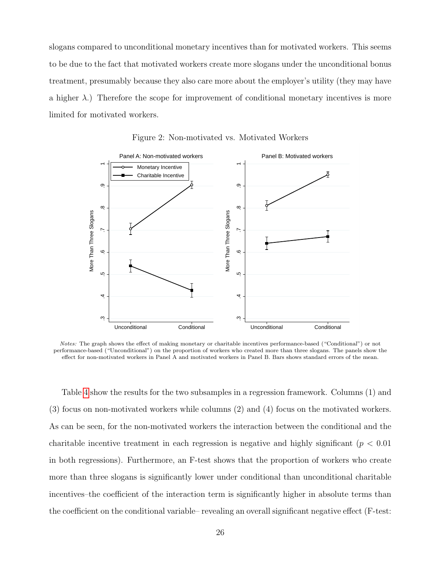slogans compared to unconditional monetary incentives than for motivated workers. This seems to be due to the fact that motivated workers create more slogans under the unconditional bonus treatment, presumably because they also care more about the employer's utility (they may have a higher  $\lambda$ .) Therefore the scope for improvement of conditional monetary incentives is more limited for motivated workers.



<span id="page-26-0"></span>Figure 2: Non-motivated vs. Motivated Workers

Notes: The graph shows the effect of making monetary or charitable incentives performance-based ("Conditional") or not performance-based ("Unconditional") on the proportion of workers who created more than three slogans. The panels show the effect for non-motivated workers in Panel A and motivated workers in Panel B. Bars shows standard errors of the mean.

Table [4](#page-29-0) show the results for the two subsamples in a regression framework. Columns (1) and (3) focus on non-motivated workers while columns (2) and (4) focus on the motivated workers. As can be seen, for the non-motivated workers the interaction between the conditional and the charitable incentive treatment in each regression is negative and highly significant ( $p < 0.01$ ) in both regressions). Furthermore, an F-test shows that the proportion of workers who create more than three slogans is significantly lower under conditional than unconditional charitable incentives–the coefficient of the interaction term is significantly higher in absolute terms than the coefficient on the conditional variable– revealing an overall significant negative effect (F-test: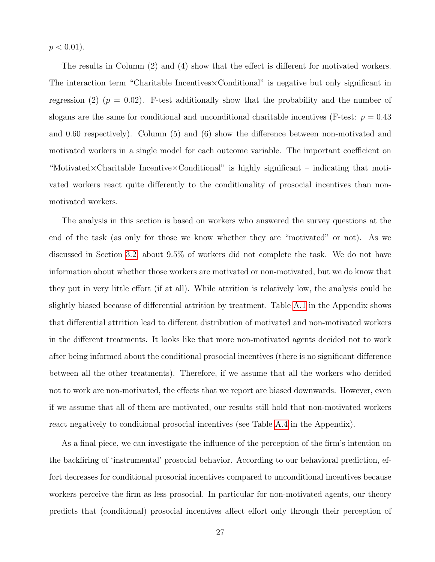$p < 0.01$ ).

The results in Column (2) and (4) show that the effect is different for motivated workers. The interaction term "Charitable Incentives×Conditional" is negative but only significant in regression (2)  $(p = 0.02)$ . F-test additionally show that the probability and the number of slogans are the same for conditional and unconditional charitable incentives (F-test:  $p = 0.43$ ) and 0.60 respectively). Column (5) and (6) show the difference between non-motivated and motivated workers in a single model for each outcome variable. The important coefficient on "Motivated×Charitable Incentive×Conditional" is highly significant – indicating that motivated workers react quite differently to the conditionality of prosocial incentives than nonmotivated workers.

The analysis in this section is based on workers who answered the survey questions at the end of the task (as only for those we know whether they are "motivated" or not). As we discussed in Section [3.2,](#page-16-1) about 9.5% of workers did not complete the task. We do not have information about whether those workers are motivated or non-motivated, but we do know that they put in very little effort (if at all). While attrition is relatively low, the analysis could be slightly biased because of differential attrition by treatment. Table [A.1](#page-16-0) in the Appendix shows that differential attrition lead to different distribution of motivated and non-motivated workers in the different treatments. It looks like that more non-motivated agents decided not to work after being informed about the conditional prosocial incentives (there is no significant difference between all the other treatments). Therefore, if we assume that all the workers who decided not to work are non-motivated, the effects that we report are biased downwards. However, even if we assume that all of them are motivated, our results still hold that non-motivated workers react negatively to conditional prosocial incentives (see Table [A.4](#page-29-0) in the Appendix).

As a final piece, we can investigate the influence of the perception of the firm's intention on the backfiring of 'instrumental' prosocial behavior. According to our behavioral prediction, effort decreases for conditional prosocial incentives compared to unconditional incentives because workers perceive the firm as less prosocial. In particular for non-motivated agents, our theory predicts that (conditional) prosocial incentives affect effort only through their perception of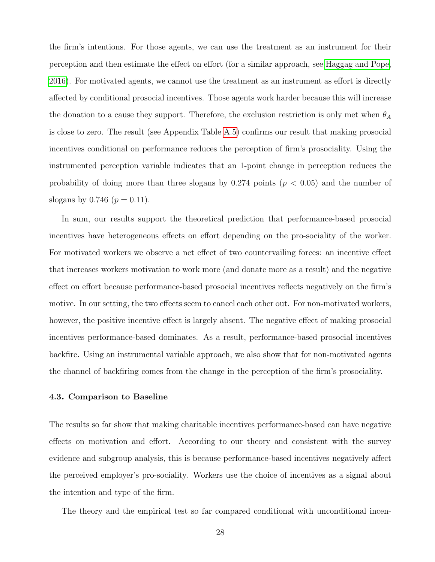the firm's intentions. For those agents, we can use the treatment as an instrument for their perception and then estimate the effect on effort (for a similar approach, see [Haggag and Pope,](#page-40-15) [2016\)](#page-40-15). For motivated agents, we cannot use the treatment as an instrument as effort is directly affected by conditional prosocial incentives. Those agents work harder because this will increase the donation to a cause they support. Therefore, the exclusion restriction is only met when  $\theta_A$ is close to zero. The result (see Appendix Table [A.5\)](#page-32-0) confirms our result that making prosocial incentives conditional on performance reduces the perception of firm's prosociality. Using the instrumented perception variable indicates that an 1-point change in perception reduces the probability of doing more than three slogans by  $0.274$  points  $(p < 0.05)$  and the number of slogans by 0.746 ( $p = 0.11$ ).

In sum, our results support the theoretical prediction that performance-based prosocial incentives have heterogeneous effects on effort depending on the pro-sociality of the worker. For motivated workers we observe a net effect of two countervailing forces: an incentive effect that increases workers motivation to work more (and donate more as a result) and the negative effect on effort because performance-based prosocial incentives reflects negatively on the firm's motive. In our setting, the two effects seem to cancel each other out. For non-motivated workers, however, the positive incentive effect is largely absent. The negative effect of making prosocial incentives performance-based dominates. As a result, performance-based prosocial incentives backfire. Using an instrumental variable approach, we also show that for non-motivated agents the channel of backfiring comes from the change in the perception of the firm's prosociality.

## 4.3. Comparison to Baseline

The results so far show that making charitable incentives performance-based can have negative effects on motivation and effort. According to our theory and consistent with the survey evidence and subgroup analysis, this is because performance-based incentives negatively affect the perceived employer's pro-sociality. Workers use the choice of incentives as a signal about the intention and type of the firm.

The theory and the empirical test so far compared conditional with unconditional incen-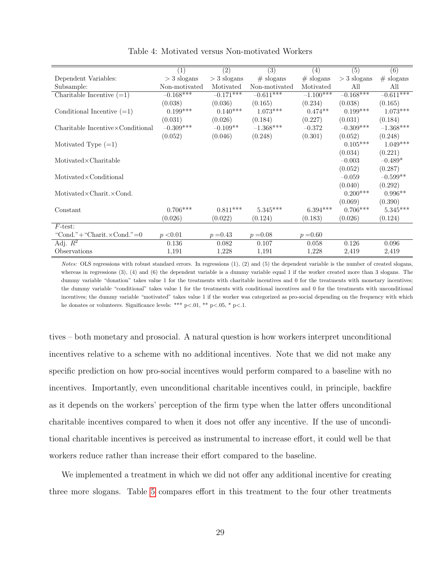|                                            | (1)           | (2)           | (3)           | (4)         | (5)           | (6)         |
|--------------------------------------------|---------------|---------------|---------------|-------------|---------------|-------------|
| Dependent Variables:                       | $>$ 3 slogans | $>$ 3 slogans | $#$ slogans   | $#$ slogans | $>$ 3 slogans | $#$ slogans |
| Subsample:                                 | Non-motivated | Motivated     | Non-motivated | Motivated   | All           | All         |
| Charitable Incentive $(=1)$                | $-0.168***$   | $-0.171***$   | $-0.611***$   | $-1.100***$ | $-0.168***$   | $-0.611***$ |
|                                            | (0.038)       | (0.036)       | (0.165)       | (0.234)     | (0.038)       | (0.165)     |
| Conditional Incentive $(=1)$               | $0.199***$    | $0.140***$    | $1.073***$    | $0.474**$   | $0.199***$    | $1.073***$  |
|                                            | (0.031)       | (0.026)       | (0.184)       | (0.227)     | (0.031)       | (0.184)     |
| $Charitable\ Incentive \times Conditional$ | $-0.309***$   | $-0.109**$    | $-1.368***$   | $-0.372$    | $-0.309***$   | $-1.368***$ |
|                                            | (0.052)       | (0.046)       | (0.248)       | (0.301)     | (0.052)       | (0.248)     |
| Motivated Type $(=1)$                      |               |               |               |             | $0.105***$    | $1.049***$  |
|                                            |               |               |               |             | (0.034)       | (0.221)     |
| $Motivated \times Charitable$              |               |               |               |             | $-0.003$      | $-0.489*$   |
|                                            |               |               |               |             | (0.052)       | (0.287)     |
| $Motivated \times Conditional$             |               |               |               |             | $-0.059$      | $-0.599**$  |
|                                            |               |               |               |             | (0.040)       | (0.292)     |
| Motivated $\times$ Charit. $\times$ Cond.  |               |               |               |             | $0.200***$    | $0.996**$   |
|                                            |               |               |               |             | (0.069)       | (0.390)     |
| Constant                                   | $0.706***$    | $0.811***$    | $5.345***$    | $6.394***$  | $0.706***$    | $5.345***$  |
|                                            | (0.026)       | (0.022)       | (0.124)       | (0.183)     | (0.026)       | (0.124)     |
| $F\text{-test}$ :                          |               |               |               |             |               |             |
| "Cond." $+$ "Charit. $\times$ Cond."=0     | p < 0.01      | $p = 0.43$    | $p = 0.08$    | $p = 0.60$  |               |             |
| Adj. $\overline{R^2}$                      | 0.136         | 0.082         | 0.107         | 0.058       | 0.126         | 0.096       |
| Observations                               | 1,191         | 1,228         | 1,191         | 1,228       | 2,419         | 2,419       |

<span id="page-29-0"></span>Table 4: Motivated versus Non-motivated Workers

Notes: OLS regressions with robust standard errors. In regressions (1), (2) and (5) the dependent variable is the number of created slogans, whereas in regressions (3), (4) and (6) the dependent variable is a dummy variable equal 1 if the worker created more than 3 slogans. The dummy variable "donation" takes value 1 for the treatments with charitable incentives and 0 for the treatments with monetary incentives; the dummy variable "conditional" takes value 1 for the treatments with conditional incentives and 0 for the treatments with unconditional incentives; the dummy variable "motivated" takes value 1 if the worker was categorized as pro-social depending on the frequency with which he donates or volunteers. Significance levels: \*\*\* p<.01, \*\* p<.05, \* p<.1.

tives – both monetary and prosocial. A natural question is how workers interpret unconditional incentives relative to a scheme with no additional incentives. Note that we did not make any specific prediction on how pro-social incentives would perform compared to a baseline with no incentives. Importantly, even unconditional charitable incentives could, in principle, backfire as it depends on the workers' perception of the firm type when the latter offers unconditional charitable incentives compared to when it does not offer any incentive. If the use of unconditional charitable incentives is perceived as instrumental to increase effort, it could well be that workers reduce rather than increase their effort compared to the baseline.

We implemented a treatment in which we did not offer any additional incentive for creating three more slogans. Table [5](#page-32-0) compares effort in this treatment to the four other treatments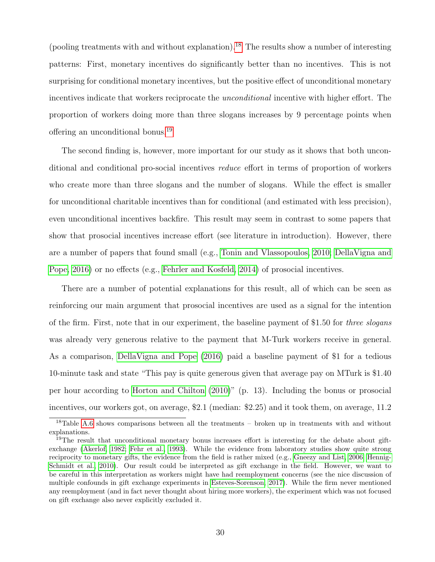(pooling treatments with and without explanation).<sup>[18](#page--1-0)</sup> The results show a number of interesting patterns: First, monetary incentives do significantly better than no incentives. This is not surprising for conditional monetary incentives, but the positive effect of unconditional monetary incentives indicate that workers reciprocate the *unconditional* incentive with higher effort. The proportion of workers doing more than three slogans increases by 9 percentage points when offering an unconditional bonus.<sup>[19](#page--1-0)</sup>

The second finding is, however, more important for our study as it shows that both unconditional and conditional pro-social incentives reduce effort in terms of proportion of workers who create more than three slogans and the number of slogans. While the effect is smaller for unconditional charitable incentives than for conditional (and estimated with less precision), even unconditional incentives backfire. This result may seem in contrast to some papers that show that prosocial incentives increase effort (see literature in introduction). However, there are a number of papers that found small (e.g., [Tonin and Vlassopoulos, 2010;](#page-41-2) [DellaVigna and](#page-39-11) [Pope, 2016\)](#page-39-11) or no effects (e.g., [Fehrler and Kosfeld, 2014\)](#page-39-10) of prosocial incentives.

There are a number of potential explanations for this result, all of which can be seen as reinforcing our main argument that prosocial incentives are used as a signal for the intention of the firm. First, note that in our experiment, the baseline payment of \$1.50 for three slogans was already very generous relative to the payment that M-Turk workers receive in general. As a comparison, [DellaVigna and Pope](#page-39-11) [\(2016\)](#page-39-11) paid a baseline payment of \$1 for a tedious 10-minute task and state "This pay is quite generous given that average pay on MTurk is \$1.40 per hour according to [Horton and Chilton](#page-40-16) [\(2010\)](#page-40-16)" (p. 13). Including the bonus or prosocial incentives, our workers got, on average, \$2.1 (median: \$2.25) and it took them, on average, 11.2

 $18$ Table [A.6](#page-34-0) shows comparisons between all the treatments – broken up in treatments with and without explanations.

<sup>&</sup>lt;sup>19</sup>The result that unconditional monetary bonus increases effort is interesting for the debate about giftexchange [\(Akerlof, 1982;](#page-38-16) [Fehr et al., 1993\)](#page-39-17). While the evidence from laboratory studies show quite strong reciprocity to monetary gifts, the evidence from the field is rather mixed (e.g., [Gneezy and List, 2006;](#page-40-17) [Hennig-](#page-40-18)[Schmidt et al., 2010\)](#page-40-18). Our result could be interpreted as gift exchange in the field. However, we want to be careful in this interpretation as workers might have had reemployment concerns (see the nice discussion of multiple confounds in gift exchange experiments in [Esteves-Sorenson, 2017\)](#page-39-18). While the firm never mentioned any reemployment (and in fact never thought about hiring more workers), the experiment which was not focused on gift exchange also never explicitly excluded it.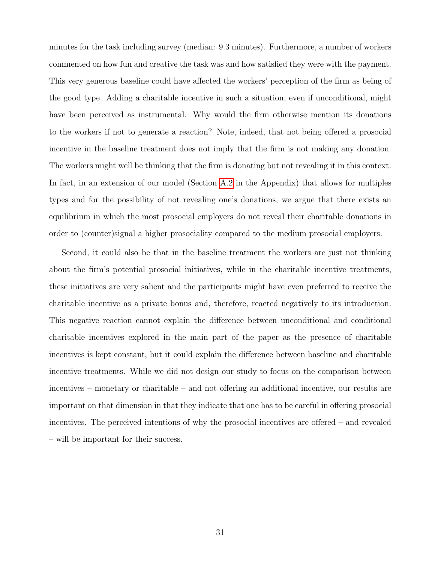minutes for the task including survey (median: 9.3 minutes). Furthermore, a number of workers commented on how fun and creative the task was and how satisfied they were with the payment. This very generous baseline could have affected the workers' perception of the firm as being of the good type. Adding a charitable incentive in such a situation, even if unconditional, might have been perceived as instrumental. Why would the firm otherwise mention its donations to the workers if not to generate a reaction? Note, indeed, that not being offered a prosocial incentive in the baseline treatment does not imply that the firm is not making any donation. The workers might well be thinking that the firm is donating but not revealing it in this context. In fact, in an extension of our model (Section [A.2](#page-42-1) in the Appendix) that allows for multiples types and for the possibility of not revealing one's donations, we argue that there exists an equilibrium in which the most prosocial employers do not reveal their charitable donations in order to (counter)signal a higher prosociality compared to the medium prosocial employers.

Second, it could also be that in the baseline treatment the workers are just not thinking about the firm's potential prosocial initiatives, while in the charitable incentive treatments, these initiatives are very salient and the participants might have even preferred to receive the charitable incentive as a private bonus and, therefore, reacted negatively to its introduction. This negative reaction cannot explain the difference between unconditional and conditional charitable incentives explored in the main part of the paper as the presence of charitable incentives is kept constant, but it could explain the difference between baseline and charitable incentive treatments. While we did not design our study to focus on the comparison between incentives – monetary or charitable – and not offering an additional incentive, our results are important on that dimension in that they indicate that one has to be careful in offering prosocial incentives. The perceived intentions of why the prosocial incentives are offered – and revealed – will be important for their success.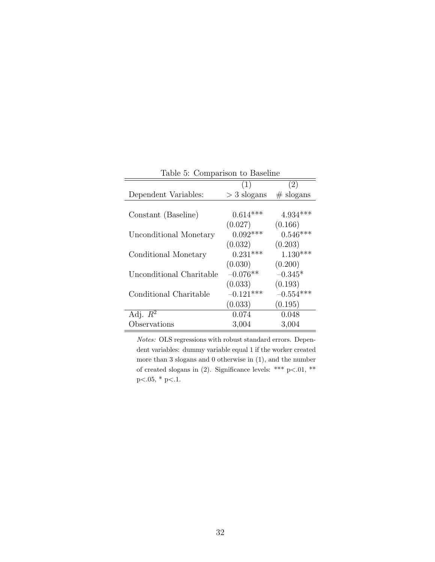| raple 5: Comparison to Baseline |               |             |  |  |
|---------------------------------|---------------|-------------|--|--|
|                                 | (1)           | (2)         |  |  |
| Dependent Variables:            | $>$ 3 slogans | $#$ slogans |  |  |
|                                 |               |             |  |  |
| Constant (Baseline)             | $0.614***$    | $4.934***$  |  |  |
|                                 | (0.027)       | (0.166)     |  |  |
| Unconditional Monetary          | $0.092***$    | $0.546***$  |  |  |
|                                 | (0.032)       | (0.203)     |  |  |
| Conditional Monetary            | $0.231***$    | $1.130***$  |  |  |
|                                 | (0.030)       | (0.200)     |  |  |
| Unconditional Charitable        | $-0.076**$    | $-0.345*$   |  |  |
|                                 | (0.033)       | (0.193)     |  |  |
| Conditional Charitable          | $-0.121***$   | $-0.554***$ |  |  |
|                                 | (0.033)       | (0.195)     |  |  |
| Adj. $R^2$                      | 0.074         | 0.048       |  |  |
| Observations                    | 3,004         | 3,004       |  |  |

<span id="page-32-0"></span>Table 5: Comparison to Baseline

Notes: OLS regressions with robust standard errors. Dependent variables: dummy variable equal 1 if the worker created more than 3 slogans and 0 otherwise in (1), and the number of created slogans in (2). Significance levels: \*\*\* p<.01, \*\*  $p<.05$ , \*  $p<.1$ .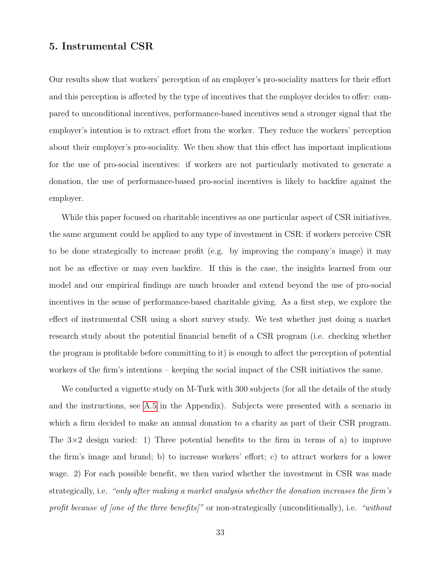# <span id="page-33-0"></span>5. Instrumental CSR

Our results show that workers' perception of an employer's pro-sociality matters for their effort and this perception is affected by the type of incentives that the employer decides to offer: compared to unconditional incentives, performance-based incentives send a stronger signal that the employer's intention is to extract effort from the worker. They reduce the workers' perception about their employer's pro-sociality. We then show that this effect has important implications for the use of pro-social incentives: if workers are not particularly motivated to generate a donation, the use of performance-based pro-social incentives is likely to backfire against the employer.

While this paper focused on charitable incentives as one particular aspect of CSR initiatives, the same argument could be applied to any type of investment in CSR: if workers perceive CSR to be done strategically to increase profit (e.g. by improving the company's image) it may not be as effective or may even backfire. If this is the case, the insights learned from our model and our empirical findings are much broader and extend beyond the use of pro-social incentives in the sense of performance-based charitable giving. As a first step, we explore the effect of instrumental CSR using a short survey study. We test whether just doing a market research study about the potential financial benefit of a CSR program (i.e. checking whether the program is profitable before committing to it) is enough to affect the perception of potential workers of the firm's intentions – keeping the social impact of the CSR initiatives the same.

We conducted a vignette study on M-Turk with 300 subjects (for all the details of the study and the instructions, see [A.5](#page-56-0) in the Appendix). Subjects were presented with a scenario in which a firm decided to make an annual donation to a charity as part of their CSR program. The  $3\times2$  design varied: 1) Three potential benefits to the firm in terms of a) to improve the firm's image and brand; b) to increase workers' effort; c) to attract workers for a lower wage. 2) For each possible benefit, we then varied whether the investment in CSR was made strategically, i.e. "only after making a market analysis whether the donation increases the firm's profit because of [one of the three benefits]" or non-strategically (unconditionally), i.e. "without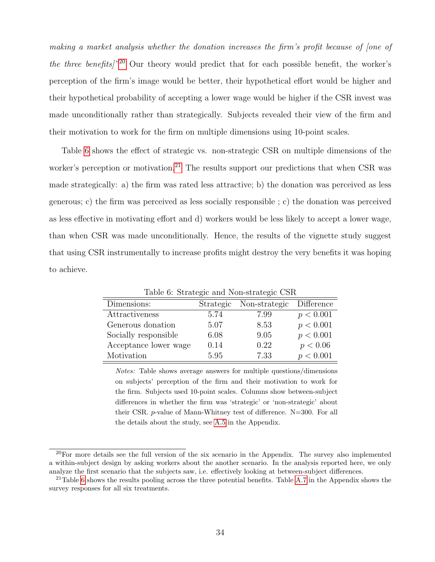making a market analysis whether the donation increases the firm's profit because of [one of the three benefits]<sup>"[20](#page--1-0)</sup> Our theory would predict that for each possible benefit, the worker's perception of the firm's image would be better, their hypothetical effort would be higher and their hypothetical probability of accepting a lower wage would be higher if the CSR invest was made unconditionally rather than strategically. Subjects revealed their view of the firm and their motivation to work for the firm on multiple dimensions using 10-point scales.

Table [6](#page-34-0) shows the effect of strategic vs. non-strategic CSR on multiple dimensions of the worker's perception or motivation.<sup>[21](#page--1-0)</sup> The results support our predictions that when CSR was made strategically: a) the firm was rated less attractive; b) the donation was perceived as less generous; c) the firm was perceived as less socially responsible ; c) the donation was perceived as less effective in motivating effort and d) workers would be less likely to accept a lower wage, than when CSR was made unconditionally. Hence, the results of the vignette study suggest that using CSR instrumentally to increase profits might destroy the very benefits it was hoping to achieve.

| Dimensions:           | Strategic | Non-strategic | Difference |  |  |  |  |  |
|-----------------------|-----------|---------------|------------|--|--|--|--|--|
| Attractiveness        | 5.74      | 7.99          | p < 0.001  |  |  |  |  |  |
| Generous donation     | 5.07      | 8.53          | p < 0.001  |  |  |  |  |  |
| Socially responsible  | 6.08      | 9.05          | p < 0.001  |  |  |  |  |  |
| Acceptance lower wage | 0.14      | 0.22          | p < 0.06   |  |  |  |  |  |
| Motivation            | 5.95      | 7.33          | p < 0.001  |  |  |  |  |  |

<span id="page-34-0"></span>Table 6: Strategic and Non-strategic CSR

Notes: Table shows average answers for multiple questions/dimensions on subjects' perception of the firm and their motivation to work for the firm. Subjects used 10-point scales. Columns show between-subject differences in whether the firm was 'strategic' or 'non-strategic' about their CSR. p-value of Mann-Whitney test of difference. N=300. For all the details about the study, see [A.5](#page-56-0) in the Appendix.

 $^{20}$ For more details see the full version of the six scenario in the Appendix. The survey also implemented a within-subject design by asking workers about the another scenario. In the analysis reported here, we only analyze the first scenario that the subjects saw, i.e. effectively looking at between-subject differences.

<sup>&</sup>lt;sup>21</sup>Table [6](#page-34-0) shows the results pooling across the three potential benefits. Table [A.7](#page-50-0) in the Appendix shows the survey responses for all six treatments.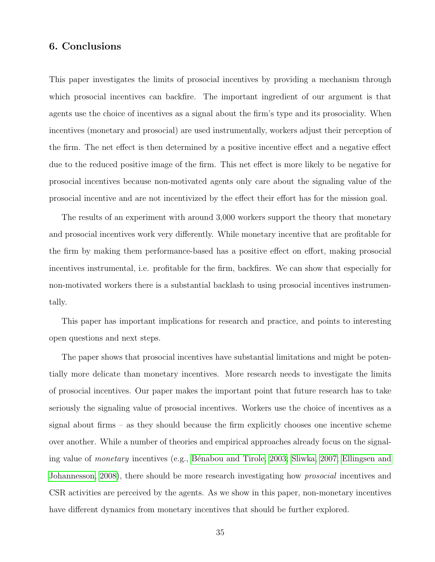# <span id="page-35-0"></span>6. Conclusions

This paper investigates the limits of prosocial incentives by providing a mechanism through which prosocial incentives can backfire. The important ingredient of our argument is that agents use the choice of incentives as a signal about the firm's type and its prosociality. When incentives (monetary and prosocial) are used instrumentally, workers adjust their perception of the firm. The net effect is then determined by a positive incentive effect and a negative effect due to the reduced positive image of the firm. This net effect is more likely to be negative for prosocial incentives because non-motivated agents only care about the signaling value of the prosocial incentive and are not incentivized by the effect their effort has for the mission goal.

The results of an experiment with around 3,000 workers support the theory that monetary and prosocial incentives work very differently. While monetary incentive that are profitable for the firm by making them performance-based has a positive effect on effort, making prosocial incentives instrumental, i.e. profitable for the firm, backfires. We can show that especially for non-motivated workers there is a substantial backlash to using prosocial incentives instrumentally.

This paper has important implications for research and practice, and points to interesting open questions and next steps.

The paper shows that prosocial incentives have substantial limitations and might be potentially more delicate than monetary incentives. More research needs to investigate the limits of prosocial incentives. Our paper makes the important point that future research has to take seriously the signaling value of prosocial incentives. Workers use the choice of incentives as a signal about firms – as they should because the firm explicitly chooses one incentive scheme over another. While a number of theories and empirical approaches already focus on the signaling value of *monetary* incentives (e.g., Bénabou and Tirole, 2003; [Sliwka, 2007;](#page-41-11) [Ellingsen and](#page-39-14) [Johannesson, 2008\)](#page-39-14), there should be more research investigating how *prosocial* incentives and CSR activities are perceived by the agents. As we show in this paper, non-monetary incentives have different dynamics from monetary incentives that should be further explored.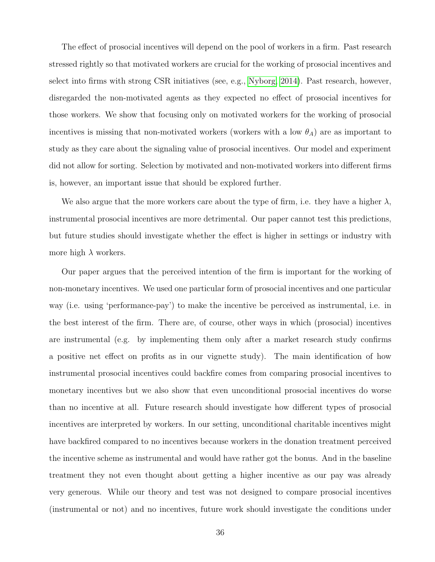The effect of prosocial incentives will depend on the pool of workers in a firm. Past research stressed rightly so that motivated workers are crucial for the working of prosocial incentives and select into firms with strong CSR initiatives (see, e.g., [Nyborg, 2014\)](#page-41-12). Past research, however, disregarded the non-motivated agents as they expected no effect of prosocial incentives for those workers. We show that focusing only on motivated workers for the working of prosocial incentives is missing that non-motivated workers (workers with a low  $\theta_A$ ) are as important to study as they care about the signaling value of prosocial incentives. Our model and experiment did not allow for sorting. Selection by motivated and non-motivated workers into different firms is, however, an important issue that should be explored further.

We also argue that the more workers care about the type of firm, i.e. they have a higher  $\lambda$ , instrumental prosocial incentives are more detrimental. Our paper cannot test this predictions, but future studies should investigate whether the effect is higher in settings or industry with more high  $\lambda$  workers.

Our paper argues that the perceived intention of the firm is important for the working of non-monetary incentives. We used one particular form of prosocial incentives and one particular way (i.e. using 'performance-pay') to make the incentive be perceived as instrumental, i.e. in the best interest of the firm. There are, of course, other ways in which (prosocial) incentives are instrumental (e.g. by implementing them only after a market research study confirms a positive net effect on profits as in our vignette study). The main identification of how instrumental prosocial incentives could backfire comes from comparing prosocial incentives to monetary incentives but we also show that even unconditional prosocial incentives do worse than no incentive at all. Future research should investigate how different types of prosocial incentives are interpreted by workers. In our setting, unconditional charitable incentives might have backfired compared to no incentives because workers in the donation treatment perceived the incentive scheme as instrumental and would have rather got the bonus. And in the baseline treatment they not even thought about getting a higher incentive as our pay was already very generous. While our theory and test was not designed to compare prosocial incentives (instrumental or not) and no incentives, future work should investigate the conditions under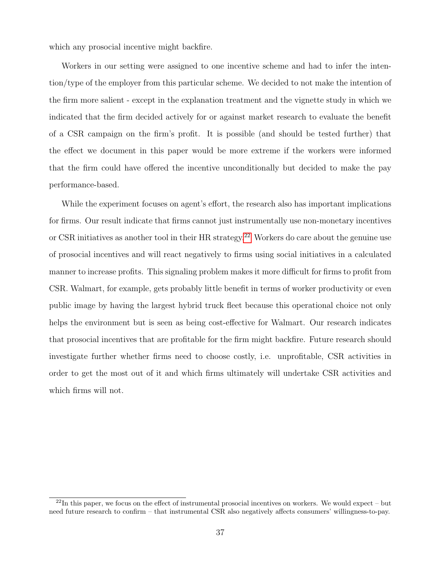which any prosocial incentive might backfire.

Workers in our setting were assigned to one incentive scheme and had to infer the intention/type of the employer from this particular scheme. We decided to not make the intention of the firm more salient - except in the explanation treatment and the vignette study in which we indicated that the firm decided actively for or against market research to evaluate the benefit of a CSR campaign on the firm's profit. It is possible (and should be tested further) that the effect we document in this paper would be more extreme if the workers were informed that the firm could have offered the incentive unconditionally but decided to make the pay performance-based.

While the experiment focuses on agent's effort, the research also has important implications for firms. Our result indicate that firms cannot just instrumentally use non-monetary incentives or CSR initiatives as another tool in their HR strategy.<sup>[22](#page--1-0)</sup> Workers do care about the genuine use of prosocial incentives and will react negatively to firms using social initiatives in a calculated manner to increase profits. This signaling problem makes it more difficult for firms to profit from CSR. Walmart, for example, gets probably little benefit in terms of worker productivity or even public image by having the largest hybrid truck fleet because this operational choice not only helps the environment but is seen as being cost-effective for Walmart. Our research indicates that prosocial incentives that are profitable for the firm might backfire. Future research should investigate further whether firms need to choose costly, i.e. unprofitable, CSR activities in order to get the most out of it and which firms ultimately will undertake CSR activities and which firms will not.

 $^{22}$ In this paper, we focus on the effect of instrumental prosocial incentives on workers. We would expect – but need future research to confirm – that instrumental CSR also negatively affects consumers' willingness-to-pay.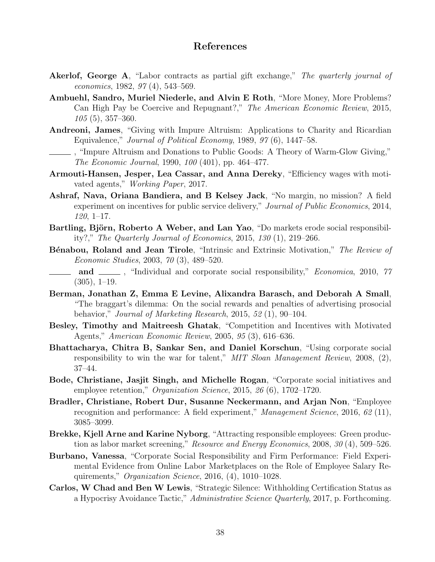# References

- <span id="page-38-16"></span>Akerlof, George A, "Labor contracts as partial gift exchange," The quarterly journal of economics, 1982, 97 (4), 543–569.
- <span id="page-38-15"></span>Ambuehl, Sandro, Muriel Niederle, and Alvin E Roth, "More Money, More Problems? Can High Pay be Coercive and Repugnant?," The American Economic Review, 2015, 105 (5), 357–360.
- <span id="page-38-9"></span>Andreoni, James, "Giving with Impure Altruism: Applications to Charity and Ricardian Equivalence," Journal of Political Economy, 1989, 97 (6), 1447–58.
- <span id="page-38-10"></span>, "Impure Altruism and Donations to Public Goods: A Theory of Warm-Glow Giving," The Economic Journal, 1990, 100 (401), pp. 464–477.
- <span id="page-38-0"></span>Armouti-Hansen, Jesper, Lea Cassar, and Anna Dereky, "Efficiency wages with motivated agents," Working Paper, 2017.
- <span id="page-38-8"></span>Ashraf, Nava, Oriana Bandiera, and B Kelsey Jack, "No margin, no mission? A field experiment on incentives for public service delivery," Journal of Public Economics, 2014, 120, 1–17.
- <span id="page-38-13"></span>Bartling, Björn, Roberto A Weber, and Lan Yao, "Do markets erode social responsibility?," The Quarterly Journal of Economics, 2015, 130 (1), 219–266.
- <span id="page-38-11"></span>**B**énabou, Roland and Jean Tirole, "Intrinsic and Extrinsic Motivation," The Review of Economic Studies, 2003, 70 (3), 489–520.

<span id="page-38-4"></span>and  $\mu$ , "Individual and corporate social responsibility," *Economica*, 2010, 77  $(305), 1-19.$ 

- <span id="page-38-7"></span>Berman, Jonathan Z, Emma E Levine, Alixandra Barasch, and Deborah A Small, "The braggart's dilemma: On the social rewards and penalties of advertising prosocial behavior," Journal of Marketing Research, 2015, 52 (1), 90–104.
- <span id="page-38-6"></span>Besley, Timothy and Maitreesh Ghatak, "Competition and Incentives with Motivated Agents," American Economic Review, 2005, 95 (3), 616–636.
- <span id="page-38-5"></span>Bhattacharya, Chitra B, Sankar Sen, and Daniel Korschun, "Using corporate social responsibility to win the war for talent," MIT Sloan Management Review, 2008, (2), 37–44.
- <span id="page-38-2"></span>Bode, Christiane, Jasjit Singh, and Michelle Rogan, "Corporate social initiatives and employee retention," Organization Science, 2015, 26 (6), 1702-1720.
- <span id="page-38-12"></span>Bradler, Christiane, Robert Dur, Susanne Neckermann, and Arjan Non, "Employee recognition and performance: A field experiment," Management Science, 2016, 62 (11), 3085–3099.
- <span id="page-38-3"></span>Brekke, Kjell Arne and Karine Nyborg, "Attracting responsible employees: Green production as labor market screening," Resource and Energy Economics, 2008, 30 (4), 509-526.
- <span id="page-38-1"></span>Burbano, Vanessa, "Corporate Social Responsibility and Firm Performance: Field Experimental Evidence from Online Labor Marketplaces on the Role of Employee Salary Requirements," Organization Science, 2016,  $(4)$ , 1010–1028.
- <span id="page-38-14"></span>Carlos, W Chad and Ben W Lewis, "Strategic Silence: Withholding Certification Status as a Hypocrisy Avoidance Tactic," Administrative Science Quarterly, 2017, p. Forthcoming.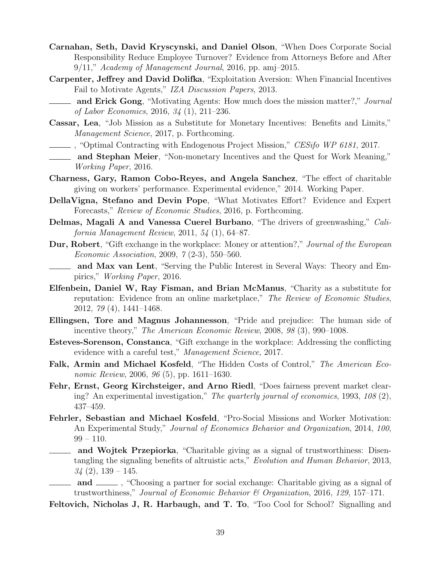- <span id="page-39-2"></span>Carnahan, Seth, David Kryscynski, and Daniel Olson, "When Does Corporate Social Responsibility Reduce Employee Turnover? Evidence from Attorneys Before and After  $9/11$ ," Academy of Management Journal, 2016, pp. amj-2015.
- <span id="page-39-7"></span>Carpenter, Jeffrey and David Dolifka, "Exploitation Aversion: When Financial Incentives Fail to Motivate Agents," IZA Discussion Papers, 2013.
- <span id="page-39-12"></span>**and Erick Gong**, "Motivating Agents: How much does the mission matter?," Journal of Labor Economics, 2016, 34 (1), 211–236.
- <span id="page-39-1"></span>Cassar, Lea, "Job Mission as a Substitute for Monetary Incentives: Benefits and Limits," Management Science, 2017, p. Forthcoming.
- <span id="page-39-3"></span>, "Optimal Contracting with Endogenous Project Mission," CESifo WP 6181, 2017.
- <span id="page-39-9"></span>and Stephan Meier, "Non-monetary Incentives and the Quest for Work Meaning," Working Paper, 2016.
- <span id="page-39-0"></span>Charness, Gary, Ramon Cobo-Reyes, and Angela Sanchez, "The effect of charitable giving on workers' performance. Experimental evidence," 2014. Working Paper.
- <span id="page-39-11"></span>DellaVigna, Stefano and Devin Pope, "What Motivates Effort? Evidence and Expert Forecasts," Review of Economic Studies, 2016, p. Forthcoming.
- <span id="page-39-13"></span>Delmas, Magali A and Vanessa Cuerel Burbano, "The drivers of greenwashing," California Management Review, 2011, 54 (1), 64–87.
- <span id="page-39-15"></span>**Dur, Robert**, "Gift exchange in the workplace: Money or attention?," Journal of the European Economic Association, 2009, 7 (2-3), 550–560.
- <span id="page-39-16"></span>and Max van Lent, "Serving the Public Interest in Several Ways: Theory and Empirics," Working Paper, 2016.
- <span id="page-39-4"></span>Elfenbein, Daniel W, Ray Fisman, and Brian McManus, "Charity as a substitute for reputation: Evidence from an online marketplace," The Review of Economic Studies, 2012, 79 (4), 1441–1468.
- <span id="page-39-14"></span>Ellingsen, Tore and Magnus Johannesson, "Pride and prejudice: The human side of incentive theory," The American Economic Review, 2008, 98 (3), 990–1008.
- <span id="page-39-18"></span>Esteves-Sorenson, Constanca, "Gift exchange in the workplace: Addressing the conflicting evidence with a careful test," Management Science, 2017.
- <span id="page-39-8"></span>Falk, Armin and Michael Kosfeld, "The Hidden Costs of Control," The American Economic Review, 2006, 96 (5), pp. 1611–1630.
- <span id="page-39-17"></span>Fehr, Ernst, Georg Kirchsteiger, and Arno Riedl, "Does fairness prevent market clearing? An experimental investigation," The quarterly journal of economics, 1993, 108 (2), 437–459.
- <span id="page-39-10"></span>Fehrler, Sebastian and Michael Kosfeld, "Pro-Social Missions and Worker Motivation: An Experimental Study," Journal of Economics Behavior and Organization, 2014, 100,  $99 - 110$ .
- <span id="page-39-5"></span>**and Wojtek Przepiorka**, "Charitable giving as a signal of trustworthiness: Disentangling the signaling benefits of altruistic acts," Evolution and Human Behavior, 2013,  $34(2), 139-145.$
- <span id="page-39-6"></span>and  $\equiv$ , "Choosing a partner for social exchange: Charitable giving as a signal of trustworthiness," Journal of Economic Behavior & Organization, 2016, 129, 157–171.
- <span id="page-39-19"></span>Feltovich, Nicholas J, R. Harbaugh, and T. To, "Too Cool for School? Signalling and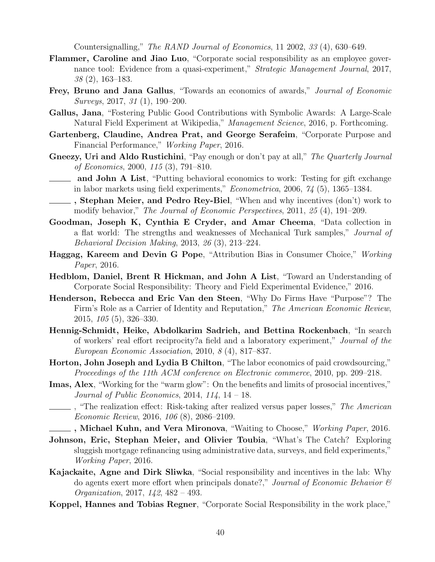Countersignalling," The RAND Journal of Economics, 11 2002, 33 (4), 630–649.

- <span id="page-40-5"></span>Flammer, Caroline and Jiao Luo, "Corporate social responsibility as an employee governance tool: Evidence from a quasi-experiment," *Strategic Management Journal*, 2017, 38 (2), 163–183.
- <span id="page-40-7"></span>Frey, Bruno and Jana Gallus, "Towards an economics of awards," *Journal of Economic* Surveys, 2017, 31 (1), 190–200.
- <span id="page-40-6"></span>Gallus, Jana, "Fostering Public Good Contributions with Symbolic Awards: A Large-Scale Natural Field Experiment at Wikipedia," Management Science, 2016, p. Forthcoming.
- <span id="page-40-10"></span>Gartenberg, Claudine, Andrea Prat, and George Serafeim, "Corporate Purpose and Financial Performance," Working Paper, 2016.
- <span id="page-40-17"></span><span id="page-40-3"></span>Gneezy, Uri and Aldo Rustichini, "Pay enough or don't pay at all," The Quarterly Journal of Economics, 2000, 115 (3), 791–810.
	- **and John A List**, "Putting behavioral economics to work: Testing for gift exchange in labor markets using field experiments," Econometrica, 2006, 74 (5), 1365–1384.
- <span id="page-40-4"></span>, Stephan Meier, and Pedro Rey-Biel, "When and why incentives (don't) work to modify behavior," The Journal of Economic Perspectives, 2011, 25 (4), 191–209.
- <span id="page-40-11"></span>Goodman, Joseph K, Cynthia E Cryder, and Amar Cheema, "Data collection in a flat world: The strengths and weaknesses of Mechanical Turk samples," Journal of Behavioral Decision Making, 2013, 26 (3), 213–224.
- <span id="page-40-15"></span>Haggag, Kareem and Devin G Pope, "Attribution Bias in Consumer Choice," Working Paper, 2016.
- <span id="page-40-8"></span>Hedblom, Daniel, Brent R Hickman, and John A List, "Toward an Understanding of Corporate Social Responsibility: Theory and Field Experimental Evidence," 2016.
- <span id="page-40-2"></span>Henderson, Rebecca and Eric Van den Steen, "Why Do Firms Have "Purpose"? The Firm's Role as a Carrier of Identity and Reputation," The American Economic Review, 2015, 105 (5), 326–330.
- <span id="page-40-18"></span>Hennig-Schmidt, Heike, Abdolkarim Sadrieh, and Bettina Rockenbach, "In search of workers' real effort reciprocity?a field and a laboratory experiment," Journal of the European Economic Association, 2010, 8 (4), 817–837.
- <span id="page-40-16"></span>Horton, John Joseph and Lydia B Chilton, "The labor economics of paid crowdsourcing," Proceedings of the 11th ACM conference on Electronic commerce, 2010, pp. 209–218.
- <span id="page-40-0"></span>Imas, Alex, "Working for the "warm glow": On the benefits and limits of prosocial incentives," Journal of Public Economics, 2014,  $114$ ,  $14 - 18$ .
- <span id="page-40-12"></span>The realization effect: Risk-taking after realized versus paper losses," The American Economic Review, 2016, 106 (8), 2086–2109.

<span id="page-40-13"></span>**Example 3. Michael Kuhn, and Vera Mironova**, "Waiting to Choose," *Working Paper*, 2016.

- <span id="page-40-14"></span>Johnson, Eric, Stephan Meier, and Olivier Toubia, "What's The Catch? Exploring sluggish mortgage refinancing using administrative data, surveys, and field experiments," Working Paper, 2016.
- <span id="page-40-1"></span>Kajackaite, Agne and Dirk Sliwka, "Social responsibility and incentives in the lab: Why do agents exert more effort when principals donate?," Journal of Economic Behavior  $\mathcal{C}$ Organization, 2017, 142, 482 – 493.
- <span id="page-40-9"></span>Koppel, Hannes and Tobias Regner, "Corporate Social Responsibility in the work place,"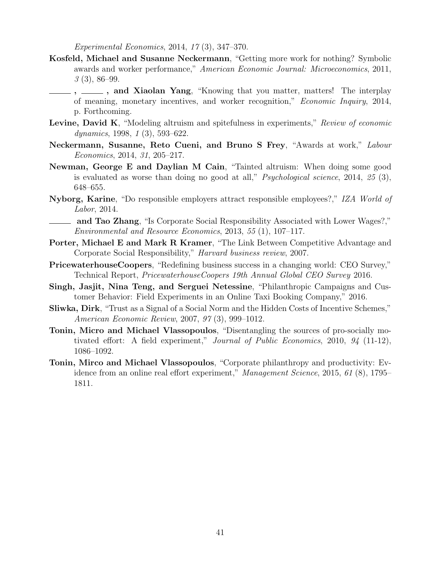Experimental Economics, 2014, 17 (3), 347–370.

- <span id="page-41-7"></span><span id="page-41-5"></span>Kosfeld, Michael and Susanne Neckermann, "Getting more work for nothing? Symbolic awards and worker performance," American Economic Journal: Microeconomics, 2011, 3 (3), 86–99.
	- ,  $\_\_\_\$ , and Xiaolan Yang, "Knowing that you matter, matters! The interplay of meaning, monetary incentives, and worker recognition," Economic Inquiry, 2014, p. Forthcoming.
- <span id="page-41-10"></span>Levine, David K, "Modeling altruism and spitefulness in experiments," Review of economic dynamics, 1998, 1 (3), 593–622.
- <span id="page-41-6"></span>Neckermann, Susanne, Reto Cueni, and Bruno S Frey, "Awards at work," Labour Economics, 2014, 31, 205–217.
- <span id="page-41-4"></span>Newman, George E and Daylian M Cain, "Tainted altruism: When doing some good is evaluated as worse than doing no good at all," *Psychological science*, 2014,  $25$  (3), 648–655.
- <span id="page-41-12"></span>Nyborg, Karine, "Do responsible employers attract responsible employees?," IZA World of Labor, 2014.
- <span id="page-41-3"></span>**and Tao Zhang**, "Is Corporate Social Responsibility Associated with Lower Wages?," Environmental and Resource Economics, 2013, 55 (1), 107–117.
- <span id="page-41-8"></span>Porter, Michael E and Mark R Kramer, "The Link Between Competitive Advantage and Corporate Social Responsibility," Harvard business review, 2007.
- <span id="page-41-0"></span>PricewaterhouseCoopers, "Redefining business success in a changing world: CEO Survey," Technical Report, PricewaterhouseCoopers 19th Annual Global CEO Survey 2016.
- <span id="page-41-9"></span>Singh, Jasjit, Nina Teng, and Serguei Netessine, "Philanthropic Campaigns and Customer Behavior: Field Experiments in an Online Taxi Booking Company," 2016.
- <span id="page-41-11"></span>Sliwka, Dirk, "Trust as a Signal of a Social Norm and the Hidden Costs of Incentive Schemes," American Economic Review, 2007, 97 (3), 999–1012.
- <span id="page-41-2"></span>Tonin, Micro and Michael Vlassopoulos, "Disentangling the sources of pro-socially motivated effort: A field experiment," Journal of Public Economics, 2010, 94 (11-12), 1086–1092.
- <span id="page-41-1"></span>Tonin, Mirco and Michael Vlassopoulos, "Corporate philanthropy and productivity: Evidence from an online real effort experiment," Management Science, 2015, 61 (8), 1795– 1811.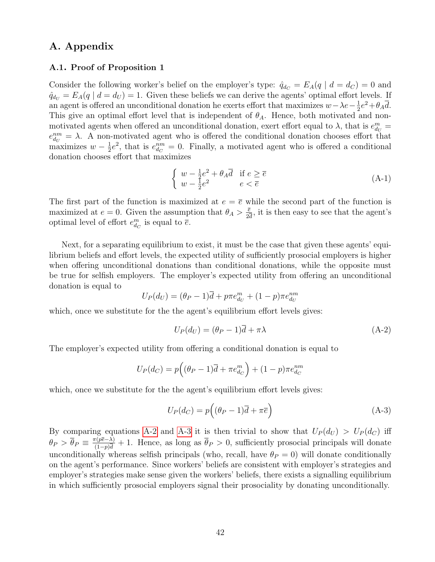# A. Appendix

#### <span id="page-42-0"></span>A.1. Proof of Proposition 1

Consider the following worker's belief on the employer's type:  $\hat{q}_{d_C} = E_A(q \mid d = d_C) = 0$  and  $\hat{q}_{d_U} = E_A(q \mid d = d_U) = 1$ . Given these beliefs we can derive the agents' optimal effort levels. If an agent is offered an unconditional donation he exerts effort that maximizes  $w-\lambda e-\frac{1}{2}$  $\frac{1}{2}e^2 + \theta_A \overline{d}.$ This give an optimal effort level that is independent of  $\theta_A$ . Hence, both motivated and nonmotivated agents when offered an unconditional donation, exert effort equal to  $\lambda$ , that is  $e_{dy}^m =$  $e_{d_U}^{nm} = \lambda$ . A non-motivated agent who is offered the conditional donation chooses effort that maximizes  $w-\frac{1}{2}$  $\frac{1}{2}e^2$ , that is  $e_{d_C}^{nm} = 0$ . Finally, a motivated agent who is offered a conditional donation chooses effort that maximizes

$$
\begin{cases}\nw - \frac{1}{2}e^2 + \theta_A \overline{d} & \text{if } e \ge \overline{e} \\
w - \frac{1}{2}e^2 & e < \overline{e}\n\end{cases}
$$
\n(A-1)

The first part of the function is maximized at  $e = \overline{e}$  while the second part of the function is maximized at  $e = 0$ . Given the assumption that  $\theta_A > \frac{\bar{e}}{2}$  $\frac{\overline{e}}{2\overline{d}}$ , it is then easy to see that the agent's optimal level of effort  $e_{d_C}^m$  is equal to  $\overline{e}$ .

Next, for a separating equilibrium to exist, it must be the case that given these agents' equilibrium beliefs and effort levels, the expected utility of sufficiently prosocial employers is higher when offering unconditional donations than conditional donations, while the opposite must be true for selfish employers. The employer's expected utility from offering an unconditional donation is equal to

$$
U_P(d_U) = (\theta_P - 1)\overline{d} + p\pi e_{d_U}^m + (1 - p)\pi e_{d_U}^{nm}
$$

which, once we substitute for the the agent's equilibrium effort levels gives:

<span id="page-42-2"></span>
$$
U_P(d_U) = (\theta_P - 1)\overline{d} + \pi\lambda
$$
\n(A-2)

The employer's expected utility from offering a conditional donation is equal to

$$
U_P(d_C) = p\Big((\theta_P - 1)\overline{d} + \pi e_{d_C}^m\Big) + (1 - p)\pi e_{d_C}^{nm}
$$

which, once we substitute for the the agent's equilibrium effort levels gives:

<span id="page-42-3"></span>
$$
U_P(d_C) = p\Big((\theta_P - 1)\overline{d} + \pi \overline{e}\Big) \tag{A-3}
$$

<span id="page-42-1"></span>By comparing equations [A-2](#page-42-2) and [A-3](#page-42-3) it is then trivial to show that  $U_P(d_U) > U_P(d_C)$  iff  $\theta_P > \overline{\theta}_P \equiv \frac{\pi (p \overline{e} - \lambda)}{(1 - p) \overline{d}}$  $\frac{\pi(p e - \lambda)}{(1-p)\overline{d}} + 1$ . Hence, as long as  $\theta_P > 0$ , sufficiently prosocial principals will donate unconditionally whereas selfish principals (who, recall, have  $\theta_P = 0$ ) will donate conditionally on the agent's performance. Since workers' beliefs are consistent with employer's strategies and employer's strategies make sense given the workers' beliefs, there exists a signalling equilibrium in which sufficiently prosocial employers signal their prosociality by donating unconditionally.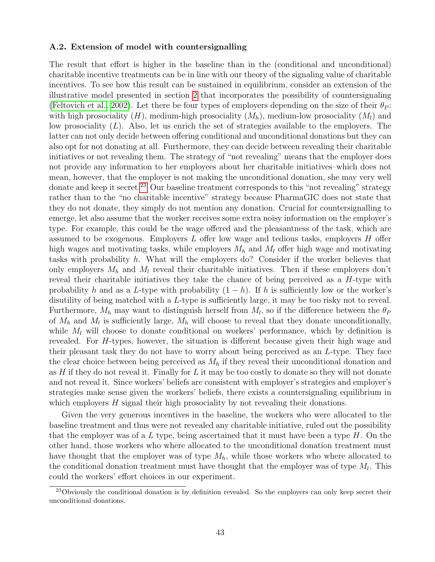### A.2. Extension of model with countersignalling

The result that effort is higher in the baseline than in the (conditional and unconditional) charitable incentive treatments can be in line with our theory of the signaling value of charitable incentives. To see how this result can be sustained in equilibrium, consider an extension of the illustrative model presented in section [2](#page-8-0) that incorporates the possibility of countersignaling [\(Feltovich et al., 2002\)](#page-39-19). Let there be four types of employers depending on the size of their  $\theta_P$ : with high prosociality  $(H)$ , medium-high prosociality  $(M_h)$ , medium-low prosociality  $(M_l)$  and low prosociality (L). Also, let us enrich the set of strategies available to the employers. The latter can not only decide between offering conditional and unconditional donations but they can also opt for not donating at all. Furthermore, they can decide between revealing their charitable initiatives or not revealing them. The strategy of "not revealing" means that the employer does not provide any information to her employees about her charitable initiatives–which does not mean, however, that the employer is not making the unconditional donation, she may very well donate and keep it secret.<sup>[23](#page--1-0)</sup> Our baseline treatment corresponds to this "not revealing" strategy rather than to the "no charitable incentive" strategy because PharmaGIC does not state that they do not donate, they simply do not mention any donation. Crucial for countersignalling to emerge, let also assume that the worker receives some extra noisy information on the employer's type. For example, this could be the wage offered and the pleasantness of the task, which are assumed to be exogenous. Employers  $L$  offer low wage and tedious tasks, employers  $H$  offer high wages and motivating tasks, while employers  $M_h$  and  $M_l$  offer high wage and motivating tasks with probability h. What will the employers do? Consider if the worker believes that only employers  $M_h$  and  $M_l$  reveal their charitable initiatives. Then if these employers don't reveal their charitable initiatives they take the chance of being perceived as a  $H$ -type with probability h and as a L-type with probability  $(1-h)$ . If h is sufficiently low or the worker's disutility of being matched with a L-type is sufficiently large, it may be too risky not to reveal. Furthermore,  $M_h$  may want to distinguish herself from  $M_l$ , so if the difference between the  $\theta_F$ of  $M_h$  and  $M_l$  is sufficiently large,  $M_h$  will choose to reveal that they donate unconditionally, while  $M_l$  will choose to donate conditional on workers' performance, which by definition is revealed. For H-types, however, the situation is different because given their high wage and their pleasant task they do not have to worry about being perceived as an L-type. They face the clear choice between being perceived as  $M_h$  if they reveal their unconditional donation and as  $H$  if they do not reveal it. Finally for  $L$  it may be too costly to donate so they will not donate and not reveal it. Since workers' beliefs are consistent with employer's strategies and employer's strategies make sense given the workers' beliefs, there exists a countersignaling equilibrium in which employers  $H$  signal their high prosociality by not revealing their donations.

Given the very generous incentives in the baseline, the workers who were allocated to the baseline treatment and thus were not revealed any charitable initiative, ruled out the possibility that the employer was of a L type, being ascertained that it must have been a type  $H$ . On the other hand, those workers who where allocated to the unconditional donation treatment must have thought that the employer was of type  $M_h$ , while those workers who where allocated to the conditional donation treatment must have thought that the employer was of type  $M_l$ . This could the workers' effort choices in our experiment.

<sup>&</sup>lt;sup>23</sup>Obviously the conditional donation is by definition revealed. So the employers can only keep secret their unconditional donations.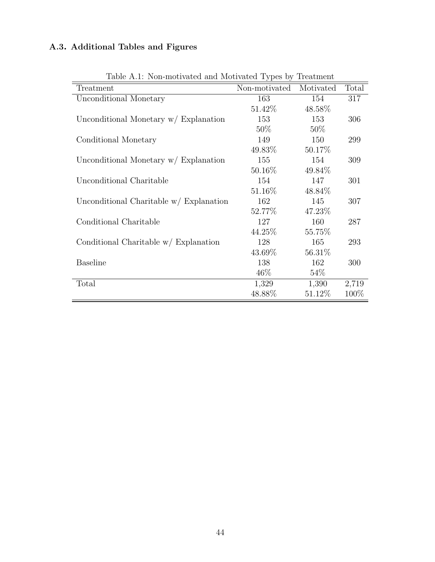# A.3. Additional Tables and Figures

| rable <i>n.i.</i> Non monvated and monvated rypes by reatment |               |           |       |
|---------------------------------------------------------------|---------------|-----------|-------|
| Treatment                                                     | Non-motivated | Motivated | Total |
| Unconditional Monetary                                        | 163           | 154       | 317   |
|                                                               | 51.42\%       | 48.58%    |       |
| Unconditional Monetary $w /$ Explanation                      | 153           | 153       | 306   |
|                                                               | $50\%$        | $50\%$    |       |
| Conditional Monetary                                          | 149           | 150       | 299   |
|                                                               | $49.83\%$     | 50.17%    |       |
| Unconditional Monetary $w /$ Explanation                      | 155           | 154       | 309   |
|                                                               | $50.16\%$     | 49.84\%   |       |
| Unconditional Charitable                                      | 154           | 147       | 301   |
|                                                               | $51.16\%$     | 48.84\%   |       |
| Unconditional Charitable $w /$ Explanation                    | 162           | 145       | 307   |
|                                                               | $52.77\%$     | 47.23%    |       |
| Conditional Charitable                                        | 127           | 160       | 287   |
|                                                               | $44.25\%$     | 55.75\%   |       |
| Conditional Charitable $w /$ Explanation                      | 128           | 165       | 293   |
|                                                               | 43.69%        | 56.31\%   |       |
| <b>Baseline</b>                                               | 138           | 162       | 300   |
|                                                               | $46\%$        | $54\%$    |       |
| Total                                                         | 1,329         | 1,390     | 2,719 |
|                                                               | 48.88%        | 51.12\%   | 100\% |
|                                                               |               |           |       |

Table A.1: Non-motivated and Motivated Types by Treatment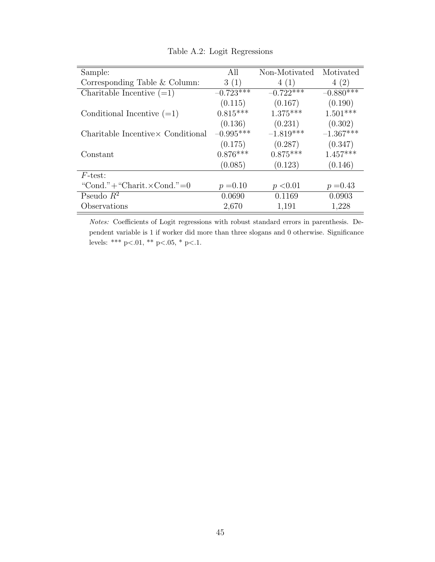| Sample:                            | All         | Non-Motivated | Motivated   |
|------------------------------------|-------------|---------------|-------------|
| Corresponding Table & Column:      | 3(1)        | 4(1)          | 4(2)        |
| Charitable Incentive $(=1)$        | $-0.723***$ | $-0.722***$   | $-0.880***$ |
|                                    | (0.115)     | (0.167)       | (0.190)     |
| Conditional Incentive $(=1)$       | $0.815***$  | $1.375***$    | $1.501***$  |
|                                    | (0.136)     | (0.231)       | (0.302)     |
| Charitable Incentive Conditional   | $-0.995***$ | $-1.819***$   | $-1.367***$ |
|                                    | (0.175)     | (0.287)       | (0.347)     |
| Constant                           | $0.876***$  | $0.875***$    | $1.457***$  |
|                                    | (0.085)     | (0.123)       | (0.146)     |
| $F\text{-test}$ :                  |             |               |             |
| "Cond."+"Charit. $\times$ Cond."=0 | $p = 0.10$  | p < 0.01      | $p = 0.43$  |
| Pseudo $R^2$                       | 0.0690      | 0.1169        | 0.0903      |
| Observations                       | 2,670       | 1,191         | 1,228       |

Table A.2: Logit Regressions

Notes: Coefficients of Logit regressions with robust standard errors in parenthesis. Dependent variable is 1 if worker did more than three slogans and 0 otherwise. Significance levels: \*\*\* p<.01, \*\* p<.05, \* p<.1.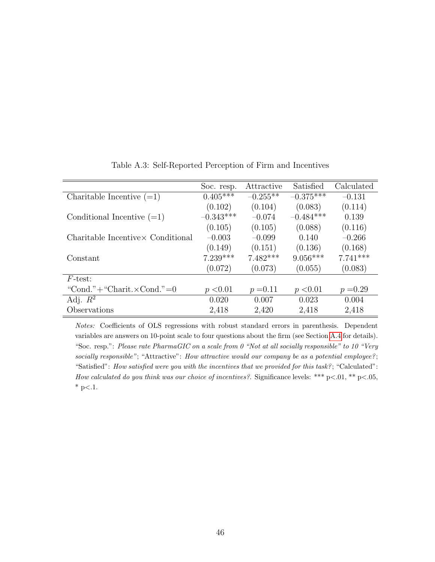|                                    | Soc. resp.  | Attractive | Satisfied   | Calculated |
|------------------------------------|-------------|------------|-------------|------------|
| Charitable Incentive $(=1)$        | $0.405***$  | $-0.255**$ | $-0.375***$ | $-0.131$   |
|                                    | (0.102)     | (0.104)    | (0.083)     | (0.114)    |
| Conditional Incentive $(=1)$       | $-0.343***$ | $-0.074$   | $-0.484***$ | 0.139      |
|                                    | (0.105)     | (0.105)    | (0.088)     | (0.116)    |
| Charitable Incentive Conditional   | $-0.003$    | $-0.099$   | 0.140       | $-0.266$   |
|                                    | (0.149)     | (0.151)    | (0.136)     | (0.168)    |
| Constant                           | $7.239***$  | $7.482***$ | $9.056***$  | $7.741***$ |
|                                    | (0.072)     | (0.073)    | (0.055)     | (0.083)    |
| $F\text{-test}$ :                  |             |            |             |            |
| "Cond."+"Charit. $\times$ Cond."=0 | p < 0.01    | $p = 0.11$ | p < 0.01    | $p = 0.29$ |
| Adj. $R^2$                         | 0.020       | 0.007      | 0.023       | 0.004      |
| Observations                       | 2,418       | 2,420      | 2,418       | 2,418      |

Table A.3: Self-Reported Perception of Firm and Incentives

Notes: Coefficients of OLS regressions with robust standard errors in parenthesis. Dependent variables are answers on 10-point scale to four questions about the firm (see Section [A.4](#page-52-0) for details). "Soc. resp.": Please rate PharmaGIC on a scale from 0 "Not at all socially responsible" to 10 "Very socially responsible"; "Attractive": How attractive would our company be as a potential employee?; "Satisfied": How satisfied were you with the incentives that we provided for this task? ; "Calculated": How calculated do you think was our choice of incentives?. Significance levels: \*\*\*  $p<.01$ , \*\*  $p<.05$ ,  $*$  p $< 1$ .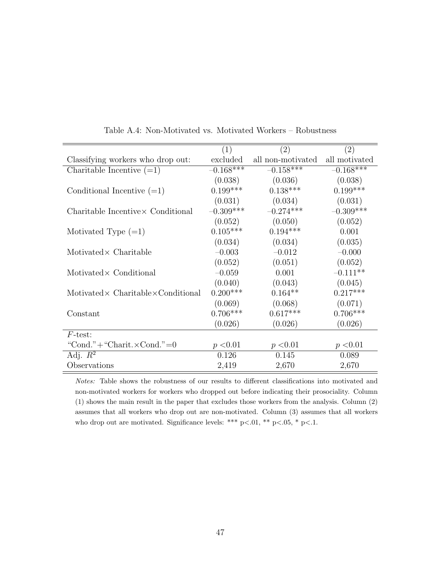|                                                    | (1)         | (2)               | $\left( 2\right)$ |
|----------------------------------------------------|-------------|-------------------|-------------------|
| Classifying workers who drop out:                  | excluded    | all non-motivated | all motivated     |
| Charitable Incentive $(=1)$                        | $-0.168***$ | $-0.158***$       | $-0.168***$       |
|                                                    | (0.038)     | (0.036)           | (0.038)           |
| Conditional Incentive $(=1)$                       | $0.199***$  | $0.138***$        | $0.199***$        |
|                                                    | (0.031)     | (0.034)           | (0.031)           |
| Charitable Incentive Conditional                   | $-0.309***$ | $-0.274***$       | $-0.309***$       |
|                                                    | (0.052)     | (0.050)           | (0.052)           |
| Motivated Type $(=1)$                              | $0.105***$  | $0.194***$        | 0.001             |
|                                                    | (0.034)     | (0.034)           | (0.035)           |
| $Motivated \times Charitable$                      | $-0.003$    | $-0.012$          | $-0.000$          |
|                                                    | (0.052)     | (0.051)           | (0.052)           |
| Motivated × Conditional                            | $-0.059$    | 0.001             | $-0.111**$        |
|                                                    | (0.040)     | (0.043)           | (0.045)           |
| Motivated $\times$ Charitable $\times$ Conditional | $0.200***$  | $0.164**$         | $0.217***$        |
|                                                    | (0.069)     | (0.068)           | (0.071)           |
| Constant                                           | $0.706***$  | $0.617***$        | $0.706***$        |
|                                                    | (0.026)     | (0.026)           | (0.026)           |
| $F\text{-test}$ :                                  |             |                   |                   |
| "Cond."+"Charit. $\times$ Cond."=0                 | p < 0.01    | p < 0.01          | p < 0.01          |
| Adj. $R^2$                                         | 0.126       | 0.145             | 0.089             |
| Observations                                       | 2,419       | 2,670             | 2,670             |

Table A.4: Non-Motivated vs. Motivated Workers – Robustness

Notes: Table shows the robustness of our results to different classifications into motivated and non-motivated workers for workers who dropped out before indicating their prosociality. Column (1) shows the main result in the paper that excludes those workers from the analysis. Column (2) assumes that all workers who drop out are non-motivated. Column (3) assumes that all workers who drop out are motivated. Significance levels: \*\*\* p<.01, \*\* p<.05, \* p<.1.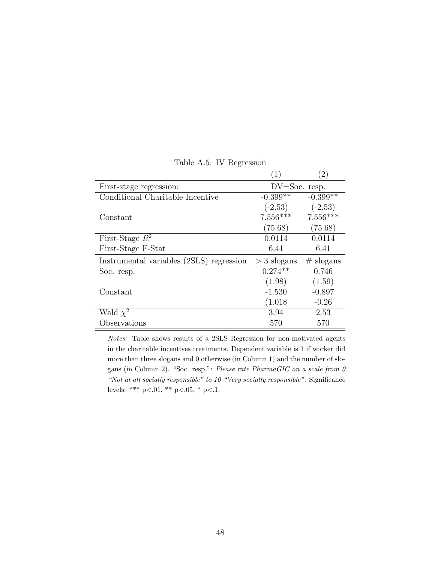|                                          | $\left(1\right)$  | $\left( 2\right)$ |
|------------------------------------------|-------------------|-------------------|
| First-stage regression:                  | $DV = Soc.$ resp. |                   |
| Conditional Charitable Incentive         | $-0.399**$        | $-0.399**$        |
|                                          | $(-2.53)$         | $(-2.53)$         |
| Constant                                 | $7.556***$        | $7.556***$        |
|                                          | (75.68)           | (75.68)           |
| First-Stage $R^2$                        | 0.0114            | 0.0114            |
| First-Stage F-Stat                       | 6.41              | 6.41              |
| Instrumental variables (2SLS) regression | $>$ 3 slogans     | $#$ slogans       |
| Soc. resp.                               | $0.274**$         | 0.746             |
|                                          | (1.98)            | (1.59)            |
| Constant                                 | $-1.530$          | $-0.897$          |
|                                          | (1.018)           | $-0.26$           |
| Wald $\chi^2$                            | 3.94              | 2.53              |
| Observations                             | 570               | 570               |

Table A.5: IV Regression

Notes: Table shows results of a 2SLS Regression for non-motivated agents in the charitable incentives treatments. Dependent variable is 1 if worker did more than three slogans and 0 otherwise (in Column 1) and the number of slogans (in Column 2). "Soc. resp.": Please rate PharmaGIC on a scale from 0 "Not at all socially responsible" to 10 "Very socially responsible". Significance levels: \*\*\* p<.01, \*\* p<.05, \* p<.1.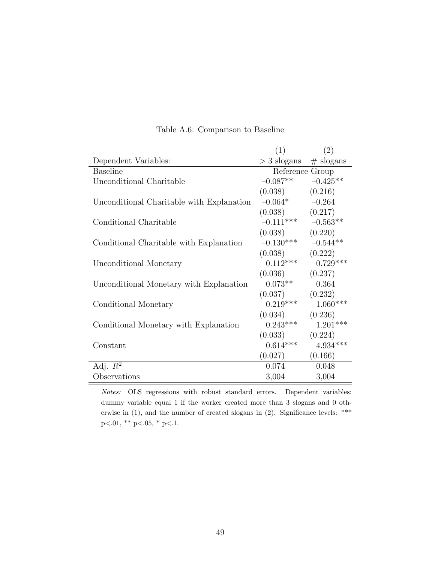|                                           | (1)             | (2)         |
|-------------------------------------------|-----------------|-------------|
| Dependent Variables:                      | $>$ 3 slogans   | $#$ slogans |
| <b>Baseline</b>                           | Reference Group |             |
| Unconditional Charitable                  | $-0.087**$      | $-0.425**$  |
|                                           | (0.038)         | (0.216)     |
| Unconditional Charitable with Explanation | $-0.064*$       | $-0.264$    |
|                                           | (0.038)         | (0.217)     |
| Conditional Charitable                    | $-0.111***$     | $-0.563**$  |
|                                           | (0.038)         | (0.220)     |
| Conditional Charitable with Explanation   | $-0.130***$     | $-0.544**$  |
|                                           | (0.038)         | (0.222)     |
| Unconditional Monetary                    | $0.112***$      | $0.729***$  |
|                                           | (0.036)         | (0.237)     |
| Unconditional Monetary with Explanation   | $0.073**$       | 0.364       |
|                                           | (0.037)         | (0.232)     |
| Conditional Monetary                      | $0.219***$      | $1.060***$  |
|                                           | (0.034)         | (0.236)     |
| Conditional Monetary with Explanation     | $0.243***$      | $1.201***$  |
|                                           | (0.033)         | (0.224)     |
| Constant                                  | $0.614***$      | $4.934***$  |
|                                           | (0.027)         | (0.166)     |
| Adj. $R^2$                                | 0.074           | 0.048       |
| Observations                              | 3,004           | 3,004       |

Table A.6: Comparison to Baseline

Notes: OLS regressions with robust standard errors. Dependent variables: dummy variable equal 1 if the worker created more than 3 slogans and 0 otherwise in (1), and the number of created slogans in (2). Significance levels: \*\*\* p<.01, \*\* p<.05, \* p<.1.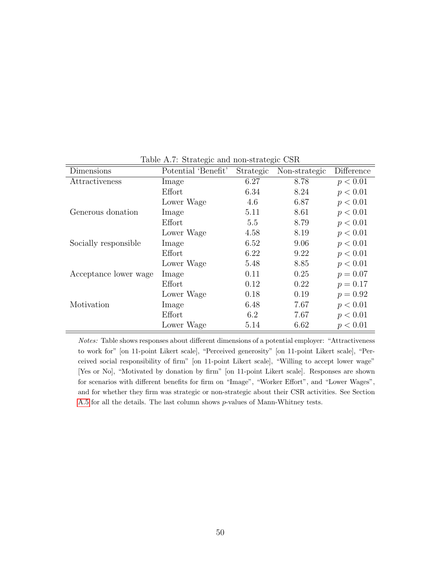| Dimensions            | Potential 'Benefit' | Strategic | Non-strategic | Difference |
|-----------------------|---------------------|-----------|---------------|------------|
| Attractiveness        | Image               | 6.27      | 8.78          | p < 0.01   |
|                       | Effort              | 6.34      | 8.24          | p < 0.01   |
|                       | Lower Wage          | 4.6       | 6.87          | p < 0.01   |
| Generous donation     | Image               | 5.11      | 8.61          | p < 0.01   |
|                       | Effort              | 5.5       | 8.79          | p < 0.01   |
|                       | Lower Wage          | 4.58      | 8.19          | p < 0.01   |
| Socially responsible  | Image               | 6.52      | 9.06          | p < 0.01   |
|                       | Effort              | 6.22      | 9.22          | p < 0.01   |
|                       | Lower Wage          | 5.48      | 8.85          | p < 0.01   |
| Acceptance lower wage | Image               | 0.11      | 0.25          | $p = 0.07$ |
|                       | Effort              | 0.12      | 0.22          | $p = 0.17$ |
|                       | Lower Wage          | 0.18      | 0.19          | $p = 0.92$ |
| Motivation            | Image               | 6.48      | 7.67          | p < 0.01   |
|                       | Effort              | 6.2       | 7.67          | p < 0.01   |
|                       | Lower Wage          | 5.14      | 6.62          | p < 0.01   |

<span id="page-50-0"></span>Table A.7: Strategic and non-strategic CSR

Notes: Table shows responses about different dimensions of a potential employer: "Attractiveness to work for" [on 11-point Likert scale], "Perceived generosity" [on 11-point Likert scale], "Perceived social responsibility of firm" [on 11-point Likert scale], "Willing to accept lower wage" [Yes or No], "Motivated by donation by firm" [on 11-point Likert scale]. Responses are shown for scenarios with different benefits for firm on "Image", "Worker Effort", and "Lower Wages", and for whether they firm was strategic or non-strategic about their CSR activities. See Section [A.5](#page-56-0) for all the details. The last column shows p-values of Mann-Whitney tests.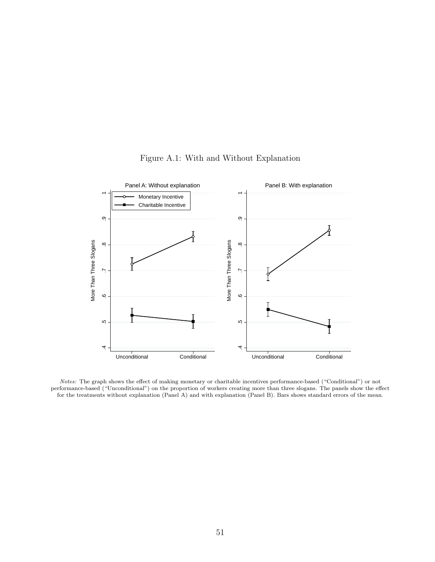

Figure A.1: With and Without Explanation

Notes: The graph shows the effect of making monetary or charitable incentives performance-based ("Conditional") or not performance-based ("Unconditional") on the proportion of workers creating more than three slogans. The panels show the effect for the treatments without explanation (Panel A) and with explanation (Panel B). Bars shows standard errors of the mean.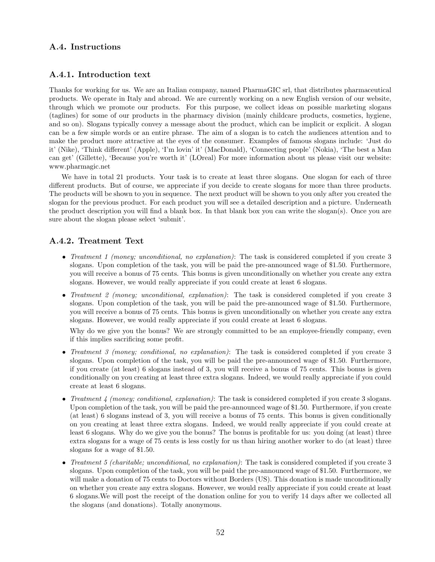# <span id="page-52-0"></span>A.4. Instructions

## A.4.1. Introduction text

Thanks for working for us. We are an Italian company, named PharmaGIC srl, that distributes pharmaceutical products. We operate in Italy and abroad. We are currently working on a new English version of our website, through which we promote our products. For this purpose, we collect ideas on possible marketing slogans (taglines) for some of our products in the pharmacy division (mainly childcare products, cosmetics, hygiene, and so on). Slogans typically convey a message about the product, which can be implicit or explicit. A slogan can be a few simple words or an entire phrase. The aim of a slogan is to catch the audiences attention and to make the product more attractive at the eyes of the consumer. Examples of famous slogans include: 'Just do it' (Nike), 'Think different' (Apple), 'I'm lovin' it' (MacDonald), 'Connecting people' (Nokia), 'The best a Man can get' (Gillette), 'Because you're worth it' (LOreal) For more information about us please visit our website: www.pharmagic.net

We have in total 21 products. Your task is to create at least three slogans. One slogan for each of three different products. But of course, we appreciate if you decide to create slogans for more than three products. The products will be shown to you in sequence. The next product will be shown to you only after you created the slogan for the previous product. For each product you will see a detailed description and a picture. Underneath the product description you will find a blank box. In that blank box you can write the slogan(s). Once you are sure about the slogan please select 'submit'.

## A.4.2. Treatment Text

- Treatment 1 (money; unconditional, no explanation): The task is considered completed if you create 3 slogans. Upon completion of the task, you will be paid the pre-announced wage of \$1.50. Furthermore, you will receive a bonus of 75 cents. This bonus is given unconditionally on whether you create any extra slogans. However, we would really appreciate if you could create at least 6 slogans.
- Treatment 2 (money; unconditional, explanation): The task is considered completed if you create 3 slogans. Upon completion of the task, you will be paid the pre-announced wage of \$1.50. Furthermore, you will receive a bonus of 75 cents. This bonus is given unconditionally on whether you create any extra slogans. However, we would really appreciate if you could create at least 6 slogans.

Why do we give you the bonus? We are strongly committed to be an employee-friendly company, even if this implies sacrificing some profit.

- Treatment 3 (money; conditional, no explanation): The task is considered completed if you create 3 slogans. Upon completion of the task, you will be paid the pre-announced wage of \$1.50. Furthermore, if you create (at least) 6 slogans instead of 3, you will receive a bonus of 75 cents. This bonus is given conditionally on you creating at least three extra slogans. Indeed, we would really appreciate if you could create at least 6 slogans.
- Treatment 4 (money; conditional, explanation): The task is considered completed if you create 3 slogans. Upon completion of the task, you will be paid the pre-announced wage of \$1.50. Furthermore, if you create (at least) 6 slogans instead of 3, you will receive a bonus of 75 cents. This bonus is given conditionally on you creating at least three extra slogans. Indeed, we would really appreciate if you could create at least 6 slogans. Why do we give you the bonus? The bonus is profitable for us: you doing (at least) three extra slogans for a wage of 75 cents is less costly for us than hiring another worker to do (at least) three slogans for a wage of \$1.50.
- Treatment 5 (charitable; unconditional, no explanation): The task is considered completed if you create 3 slogans. Upon completion of the task, you will be paid the pre-announced wage of \$1.50. Furthermore, we will make a donation of 75 cents to Doctors without Borders (US). This donation is made unconditionally on whether you create any extra slogans. However, we would really appreciate if you could create at least 6 slogans.We will post the receipt of the donation online for you to verify 14 days after we collected all the slogans (and donations). Totally anonymous.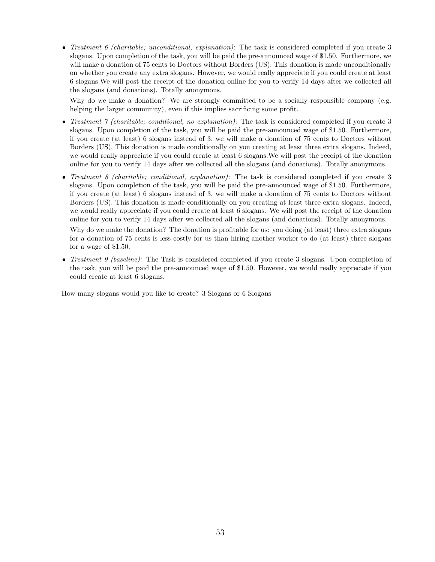• Treatment 6 (charitable; unconditional, explanation): The task is considered completed if you create  $3$ slogans. Upon completion of the task, you will be paid the pre-announced wage of \$1.50. Furthermore, we will make a donation of 75 cents to Doctors without Borders (US). This donation is made unconditionally on whether you create any extra slogans. However, we would really appreciate if you could create at least 6 slogans.We will post the receipt of the donation online for you to verify 14 days after we collected all the slogans (and donations). Totally anonymous.

Why do we make a donation? We are strongly committed to be a socially responsible company (e.g. helping the larger community), even if this implies sacrificing some profit.

- Treatment  $\gamma$  (charitable; conditional, no explanation): The task is considered completed if you create 3 slogans. Upon completion of the task, you will be paid the pre-announced wage of \$1.50. Furthermore, if you create (at least) 6 slogans instead of 3, we will make a donation of 75 cents to Doctors without Borders (US). This donation is made conditionally on you creating at least three extra slogans. Indeed, we would really appreciate if you could create at least 6 slogans.We will post the receipt of the donation online for you to verify 14 days after we collected all the slogans (and donations). Totally anonymous.
- Treatment 8 (charitable; conditional, explanation): The task is considered completed if you create 3 slogans. Upon completion of the task, you will be paid the pre-announced wage of \$1.50. Furthermore, if you create (at least) 6 slogans instead of 3, we will make a donation of 75 cents to Doctors without Borders (US). This donation is made conditionally on you creating at least three extra slogans. Indeed, we would really appreciate if you could create at least 6 slogans. We will post the receipt of the donation online for you to verify 14 days after we collected all the slogans (and donations). Totally anonymous.

Why do we make the donation? The donation is profitable for us: you doing (at least) three extra slogans for a donation of 75 cents is less costly for us than hiring another worker to do (at least) three slogans for a wage of \$1.50.

• Treatment 9 (baseline): The Task is considered completed if you create 3 slogans. Upon completion of the task, you will be paid the pre-announced wage of \$1.50. However, we would really appreciate if you could create at least 6 slogans.

How many slogans would you like to create? 3 Slogans or 6 Slogans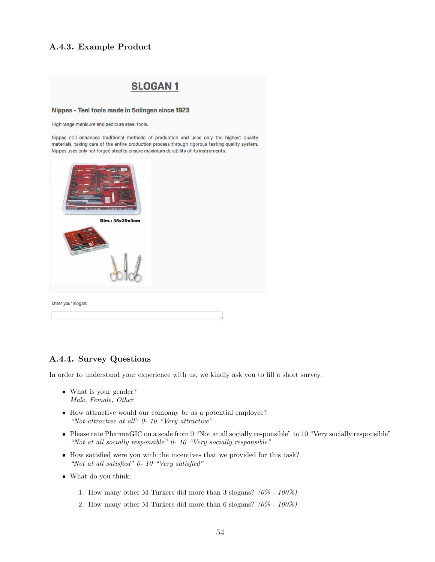## A.4.3. Example Product

# **SLOGAN1**

#### Nippes - Teel tools made in Solingen since 1923

High range manicure and pedicure steel tools.

Nippes still enhances traditional methods of production and uses only the highest quality materials, taking care of the entire production process through rigorous testing quality system. Nippes uses only hot forged steel to ensure maximum durability of its instruments.



# A.4.4. Survey Questions

In order to understand your experience with us, we kindly ask you to fill a short survey.

- What is your gender? Male, Female, Other
- How attractive would our company be as a potential employee? "Not attractive at all" 0- 10 "Very attractive"
- Please rate PharmaGIC on a scale from 0 "Not at all socially responsible" to 10 "Very socially responsible" "Not at all socially responsible" 0- 10 "Very socially responsible"
- How satisfied were you with the incentives that we provided for this task? "Not at all satisfied" 0- 10 "Very satisfied"
- What do you think:
	- 1. How many other M-Turkers did more than 3 slogans?  $(0\% 100\%)$
	- 2. How many other M-Turkers did more than 6 slogans?  $(0\% 100\%)$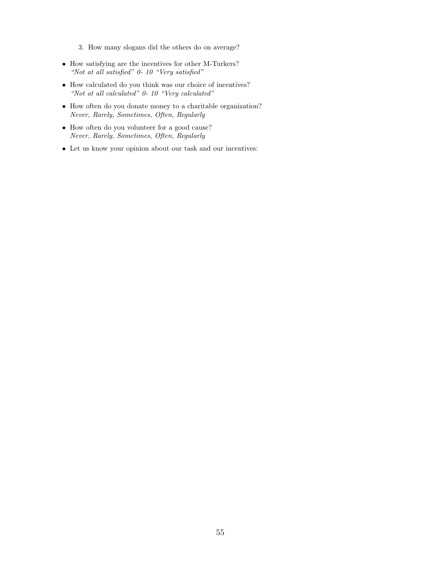3. How many slogans did the others do on average?

- How satisfying are the incentives for other M-Turkers? "Not at all satisfied" 0- 10 "Very satisfied"
- How calculated do you think was our choice of incentives? "Not at all calculated" 0- 10 "Very calculated"
- How often do you donate money to a charitable organization? Never, Rarely, Sometimes, Often, Regularly
- How often do you volunteer for a good cause? Never, Rarely, Sometimes, Often, Regularly
- Let us know your opinion about our task and our incentives: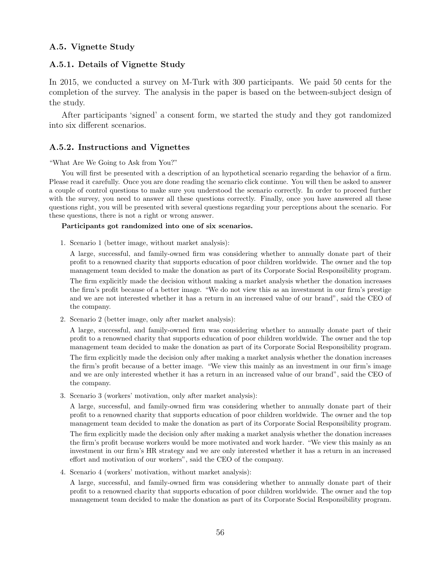# <span id="page-56-0"></span>A.5. Vignette Study

# A.5.1. Details of Vignette Study

In 2015, we conducted a survey on M-Turk with 300 participants. We paid 50 cents for the completion of the survey. The analysis in the paper is based on the between-subject design of the study.

After participants 'signed' a consent form, we started the study and they got randomized into six different scenarios.

# A.5.2. Instructions and Vignettes

### "What Are We Going to Ask from You?"

You will first be presented with a description of an hypothetical scenario regarding the behavior of a firm. Please read it carefully. Once you are done reading the scenario click continue. You will then be asked to answer a couple of control questions to make sure you understood the scenario correctly. In order to proceed further with the survey, you need to answer all these questions correctly. Finally, once you have answered all these questions right, you will be presented with several questions regarding your perceptions about the scenario. For these questions, there is not a right or wrong answer.

## Participants got randomized into one of six scenarios.

1. Scenario 1 (better image, without market analysis):

A large, successful, and family-owned firm was considering whether to annually donate part of their profit to a renowned charity that supports education of poor children worldwide. The owner and the top management team decided to make the donation as part of its Corporate Social Responsibility program.

The firm explicitly made the decision without making a market analysis whether the donation increases the firm's profit because of a better image. "We do not view this as an investment in our firm's prestige and we are not interested whether it has a return in an increased value of our brand", said the CEO of the company.

2. Scenario 2 (better image, only after market analysis):

A large, successful, and family-owned firm was considering whether to annually donate part of their profit to a renowned charity that supports education of poor children worldwide. The owner and the top management team decided to make the donation as part of its Corporate Social Responsibility program.

The firm explicitly made the decision only after making a market analysis whether the donation increases the firm's profit because of a better image. "We view this mainly as an investment in our firm's image and we are only interested whether it has a return in an increased value of our brand", said the CEO of the company.

3. Scenario 3 (workers' motivation, only after market analysis):

A large, successful, and family-owned firm was considering whether to annually donate part of their profit to a renowned charity that supports education of poor children worldwide. The owner and the top management team decided to make the donation as part of its Corporate Social Responsibility program. The firm explicitly made the decision only after making a market analysis whether the donation increases the firm's profit because workers would be more motivated and work harder. "We view this mainly as an investment in our firm's HR strategy and we are only interested whether it has a return in an increased effort and motivation of our workers", said the CEO of the company.

4. Scenario 4 (workers' motivation, without market analysis):

A large, successful, and family-owned firm was considering whether to annually donate part of their profit to a renowned charity that supports education of poor children worldwide. The owner and the top management team decided to make the donation as part of its Corporate Social Responsibility program.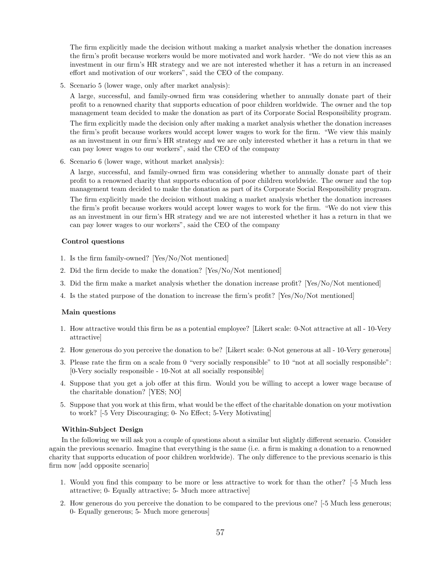The firm explicitly made the decision without making a market analysis whether the donation increases the firm's profit because workers would be more motivated and work harder. "We do not view this as an investment in our firm's HR strategy and we are not interested whether it has a return in an increased effort and motivation of our workers", said the CEO of the company.

5. Scenario 5 (lower wage, only after market analysis):

A large, successful, and family-owned firm was considering whether to annually donate part of their profit to a renowned charity that supports education of poor children worldwide. The owner and the top management team decided to make the donation as part of its Corporate Social Responsibility program. The firm explicitly made the decision only after making a market analysis whether the donation increases the firm's profit because workers would accept lower wages to work for the firm. "We view this mainly as an investment in our firm's HR strategy and we are only interested whether it has a return in that we can pay lower wages to our workers", said the CEO of the company

6. Scenario 6 (lower wage, without market analysis):

A large, successful, and family-owned firm was considering whether to annually donate part of their profit to a renowned charity that supports education of poor children worldwide. The owner and the top management team decided to make the donation as part of its Corporate Social Responsibility program. The firm explicitly made the decision without making a market analysis whether the donation increases the firm's profit because workers would accept lower wages to work for the firm. "We do not view this as an investment in our firm's HR strategy and we are not interested whether it has a return in that we can pay lower wages to our workers", said the CEO of the company

## Control questions

- 1. Is the firm family-owned? [Yes/No/Not mentioned]
- 2. Did the firm decide to make the donation? [Yes/No/Not mentioned]
- 3. Did the firm make a market analysis whether the donation increase profit? [Yes/No/Not mentioned]
- 4. Is the stated purpose of the donation to increase the firm's profit? [Yes/No/Not mentioned]

## Main questions

- 1. How attractive would this firm be as a potential employee? [Likert scale: 0-Not attractive at all 10-Very attractive]
- 2. How generous do you perceive the donation to be? [Likert scale: 0-Not generous at all 10-Very generous]
- 3. Please rate the firm on a scale from 0 "very socially responsible" to 10 "not at all socially responsible": [0-Very socially responsible - 10-Not at all socially responsible]
- 4. Suppose that you get a job offer at this firm. Would you be willing to accept a lower wage because of the charitable donation? [YES; NO]
- 5. Suppose that you work at this firm, what would be the effect of the charitable donation on your motivation to work? [-5 Very Discouraging; 0- No Effect; 5-Very Motivating]

#### Within-Subject Design

In the following we will ask you a couple of questions about a similar but slightly different scenario. Consider again the previous scenario. Imagine that everything is the same (i.e. a firm is making a donation to a renowned charity that supports education of poor children worldwide). The only difference to the previous scenario is this firm now [add opposite scenario]

- 1. Would you find this company to be more or less attractive to work for than the other? [-5 Much less attractive; 0- Equally attractive; 5- Much more attractive]
- 2. How generous do you perceive the donation to be compared to the previous one? [-5 Much less generous; 0- Equally generous; 5- Much more generous]